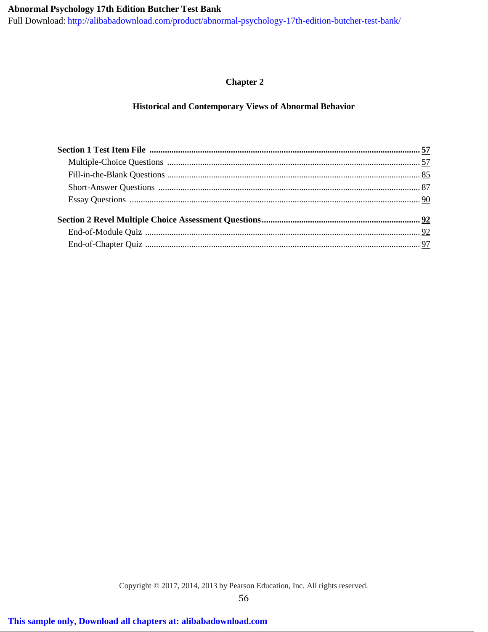# **Abnormal Psychology 17th Edition Butcher Test Bank**

[Full Download: http://alibabadownload.com/product/abnormal-psychology-17th-edition-butcher-test-bank/](http://alibabadownload.com/product/abnormal-psychology-17th-edition-butcher-test-bank/)

# **Chapter 2**

# **Historical and Contemporary Views of Abnormal Behavior**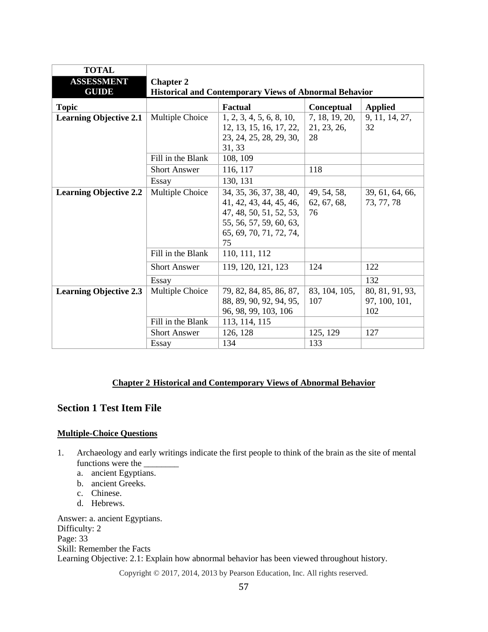| <b>TOTAL</b><br><b>ASSESSMENT</b><br><b>GUIDE</b> | <b>Chapter 2</b>    | <b>Historical and Contemporary Views of Abnormal Behavior</b>                                                                             |                                     |                                         |
|---------------------------------------------------|---------------------|-------------------------------------------------------------------------------------------------------------------------------------------|-------------------------------------|-----------------------------------------|
| <b>Topic</b>                                      |                     | <b>Factual</b>                                                                                                                            | <b>Conceptual</b>                   | <b>Applied</b>                          |
| <b>Learning Objective 2.1</b>                     | Multiple Choice     | 1, 2, 3, 4, 5, 6, 8, 10,<br>12, 13, 15, 16, 17, 22,<br>23, 24, 25, 28, 29, 30,<br>31, 33                                                  | 7, 18, 19, 20,<br>21, 23, 26,<br>28 | 9, 11, 14, 27,<br>32                    |
|                                                   | Fill in the Blank   | 108, 109                                                                                                                                  |                                     |                                         |
|                                                   | <b>Short Answer</b> | 116, 117                                                                                                                                  | 118                                 |                                         |
|                                                   | Essay               | 130, 131                                                                                                                                  |                                     |                                         |
| <b>Learning Objective 2.2</b>                     | Multiple Choice     | 34, 35, 36, 37, 38, 40,<br>41, 42, 43, 44, 45, 46,<br>47, 48, 50, 51, 52, 53,<br>55, 56, 57, 59, 60, 63,<br>65, 69, 70, 71, 72, 74,<br>75 | 49, 54, 58,<br>62, 67, 68,<br>76    | 39, 61, 64, 66,<br>73, 77, 78           |
|                                                   | Fill in the Blank   | 110, 111, 112                                                                                                                             |                                     |                                         |
|                                                   | <b>Short Answer</b> | 119, 120, 121, 123                                                                                                                        | 124                                 | 122                                     |
|                                                   | Essay               |                                                                                                                                           |                                     | 132                                     |
| <b>Learning Objective 2.3</b>                     | Multiple Choice     | 79, 82, 84, 85, 86, 87,<br>88, 89, 90, 92, 94, 95,<br>96, 98, 99, 103, 106                                                                | 83, 104, 105,<br>107                | 80, 81, 91, 93,<br>97, 100, 101,<br>102 |
|                                                   | Fill in the Blank   | 113, 114, 115                                                                                                                             |                                     |                                         |
|                                                   | <b>Short Answer</b> | 126, 128                                                                                                                                  | 125, 129                            | 127                                     |
|                                                   | Essay               | 134                                                                                                                                       | 133                                 |                                         |

### **Chapter 2 Historical and Contemporary Views of Abnormal Behavior**

# <span id="page-1-0"></span>**Section 1 Test Item File**

### <span id="page-1-1"></span>**Multiple-Choice Questions**

- 1. Archaeology and early writings indicate the first people to think of the brain as the site of mental functions were the
	- a. ancient Egyptians.
	- b. ancient Greeks.
	- c. Chinese.
	- d. Hebrews.

Answer: a. ancient Egyptians. Difficulty: 2 Page: 33 Skill: Remember the Facts Learning Objective: 2.1: Explain how abnormal behavior has been viewed throughout history.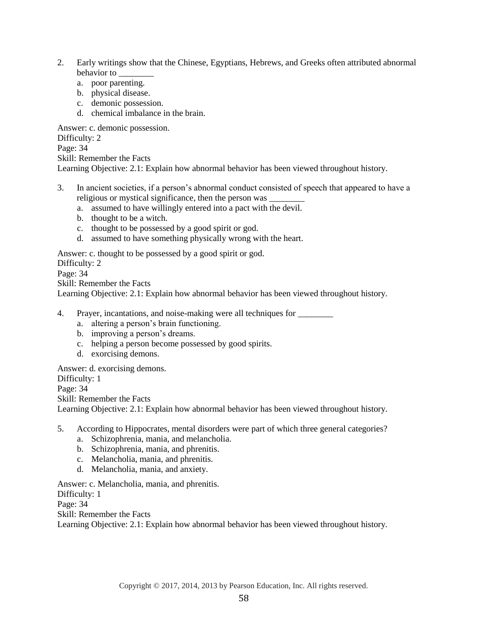- 2. Early writings show that the Chinese, Egyptians, Hebrews, and Greeks often attributed abnormal behavior to \_\_\_\_\_\_\_\_
	- a. poor parenting.
	- b. physical disease.
	- c. demonic possession.
	- d. chemical imbalance in the brain.

Answer: c. demonic possession.

Difficulty: 2

Page: 34

Skill: Remember the Facts

Learning Objective: 2.1: Explain how abnormal behavior has been viewed throughout history.

- 3. In ancient societies, if a person's abnormal conduct consisted of speech that appeared to have a religious or mystical significance, then the person was
	- a. assumed to have willingly entered into a pact with the devil.
	- b. thought to be a witch.
	- c. thought to be possessed by a good spirit or god.
	- d. assumed to have something physically wrong with the heart.

Answer: c. thought to be possessed by a good spirit or god.

Difficulty: 2

Page: 34

Skill: Remember the Facts

Learning Objective: 2.1: Explain how abnormal behavior has been viewed throughout history.

4. Prayer, incantations, and noise-making were all techniques for

- a. altering a person's brain functioning.
- b. improving a person's dreams.
- c. helping a person become possessed by good spirits.
- d. exorcising demons.

Answer: d. exorcising demons. Difficulty: 1 Page: 34 Skill: Remember the Facts Learning Objective: 2.1: Explain how abnormal behavior has been viewed throughout history.

- 5. According to Hippocrates, mental disorders were part of which three general categories?
	- a. Schizophrenia, mania, and melancholia.
	- b. Schizophrenia, mania, and phrenitis.
	- c. Melancholia, mania, and phrenitis.
	- d. Melancholia, mania, and anxiety.

Answer: c. Melancholia, mania, and phrenitis.

Difficulty: 1

Page: 34

Skill: Remember the Facts

Learning Objective: 2.1: Explain how abnormal behavior has been viewed throughout history.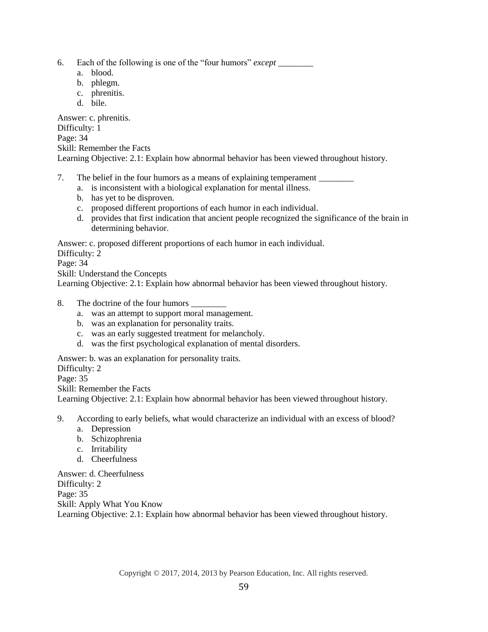- 6. Each of the following is one of the "four humors" *except* \_\_\_\_\_\_\_\_
	- a. blood.
	- b. phlegm.
	- c. phrenitis.
	- d. bile.

Answer: c. phrenitis. Difficulty: 1 Page: 34 Skill: Remember the Facts Learning Objective: 2.1: Explain how abnormal behavior has been viewed throughout history.

- 7. The belief in the four humors as a means of explaining temperament \_\_\_\_\_\_\_\_
	- a. is inconsistent with a biological explanation for mental illness.
	- b. has yet to be disproven.
	- c. proposed different proportions of each humor in each individual.
	- d. provides that first indication that ancient people recognized the significance of the brain in determining behavior.

Answer: c. proposed different proportions of each humor in each individual.

Difficulty: 2

Page: 34

Skill: Understand the Concepts

Learning Objective: 2.1: Explain how abnormal behavior has been viewed throughout history.

- 8. The doctrine of the four humors  $\Box$ 
	- a. was an attempt to support moral management.
	- b. was an explanation for personality traits.
	- c. was an early suggested treatment for melancholy.
	- d. was the first psychological explanation of mental disorders.

Answer: b. was an explanation for personality traits.

Difficulty: 2

Page: 35

Skill: Remember the Facts

Learning Objective: 2.1: Explain how abnormal behavior has been viewed throughout history.

9. According to early beliefs, what would characterize an individual with an excess of blood?

- a. Depression
- b. Schizophrenia
- c. Irritability
- d. Cheerfulness

Answer: d. Cheerfulness Difficulty: 2 Page: 35 Skill: Apply What You Know Learning Objective: 2.1: Explain how abnormal behavior has been viewed throughout history.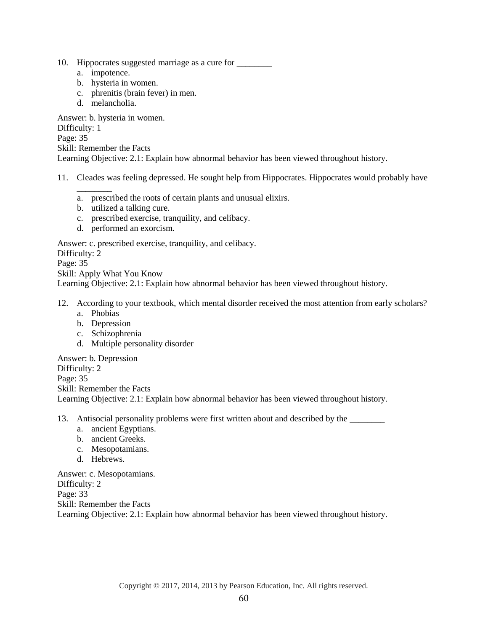- 10. Hippocrates suggested marriage as a cure for \_\_\_\_\_\_\_\_
	- a. impotence.
	- b. hysteria in women.
	- c. phrenitis (brain fever) in men.
	- d. melancholia.

Answer: b. hysteria in women. Difficulty: 1 Page: 35 Skill: Remember the Facts Learning Objective: 2.1: Explain how abnormal behavior has been viewed throughout history.

- 11. Cleades was feeling depressed. He sought help from Hippocrates. Hippocrates would probably have
	- a. prescribed the roots of certain plants and unusual elixirs.
	- b. utilized a talking cure.
	- c. prescribed exercise, tranquility, and celibacy.
	- d. performed an exorcism.

Answer: c. prescribed exercise, tranquility, and celibacy.

Difficulty: 2

 $\overline{\phantom{a}}$ 

Page: 35

Skill: Apply What You Know

Learning Objective: 2.1: Explain how abnormal behavior has been viewed throughout history.

- 12. According to your textbook, which mental disorder received the most attention from early scholars? a. Phobias
	- b. Depression
	- c. Schizophrenia
	- d. Multiple personality disorder

Answer: b. Depression

Difficulty: 2 Page: 35 Skill: Remember the Facts Learning Objective: 2.1: Explain how abnormal behavior has been viewed throughout history.

13. Antisocial personality problems were first written about and described by the \_\_\_\_\_\_\_\_

- a. ancient Egyptians.
- b. ancient Greeks.
- c. Mesopotamians.
- d. Hebrews.

Answer: c. Mesopotamians. Difficulty: 2 Page: 33 Skill: Remember the Facts Learning Objective: 2.1: Explain how abnormal behavior has been viewed throughout history.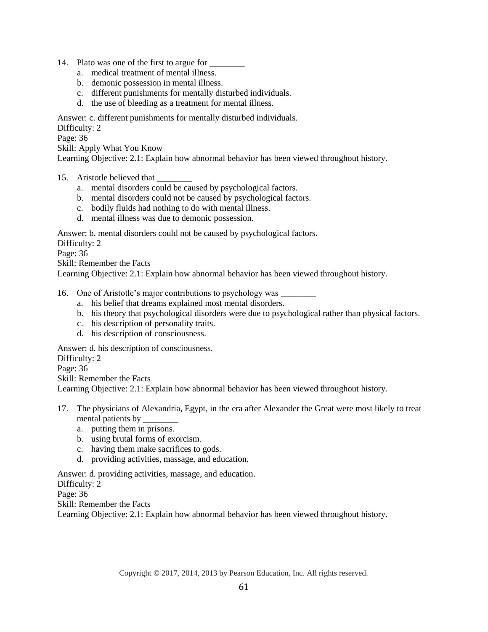- 14. Plato was one of the first to argue for
	- a. medical treatment of mental illness.
	- b. demonic possession in mental illness.
	- c. different punishments for mentally disturbed individuals.
	- d. the use of bleeding as a treatment for mental illness.

Answer: c. different punishments for mentally disturbed individuals.

Difficulty: 2

Page: 36

Skill: Apply What You Know

Learning Objective: 2.1: Explain how abnormal behavior has been viewed throughout history.

- 15. Aristotle believed that
	- a. mental disorders could be caused by psychological factors.
	- b. mental disorders could not be caused by psychological factors.
	- c. bodily fluids had nothing to do with mental illness.
	- d. mental illness was due to demonic possession.

Answer: b. mental disorders could not be caused by psychological factors.

Difficulty: 2

Page: 36

Skill: Remember the Facts

Learning Objective: 2.1: Explain how abnormal behavior has been viewed throughout history.

### 16. One of Aristotle's major contributions to psychology was \_\_\_\_\_\_\_\_

- a. his belief that dreams explained most mental disorders.
- b. his theory that psychological disorders were due to psychological rather than physical factors.
- c. his description of personality traits.
- d. his description of consciousness.

Answer: d. his description of consciousness.

Difficulty: 2

Page: 36

Skill: Remember the Facts

Learning Objective: 2.1: Explain how abnormal behavior has been viewed throughout history.

- 17. The physicians of Alexandria, Egypt, in the era after Alexander the Great were most likely to treat mental patients by
	- a. putting them in prisons.
	- b. using brutal forms of exorcism.
	- c. having them make sacrifices to gods.
	- d. providing activities, massage, and education.

Answer: d. providing activities, massage, and education.

Difficulty: 2

Page: 36

Skill: Remember the Facts

Learning Objective: 2.1: Explain how abnormal behavior has been viewed throughout history.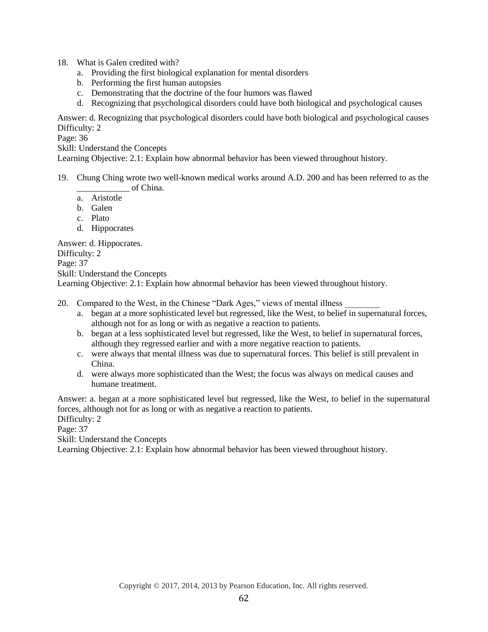- 18. What is Galen credited with?
	- a. Providing the first biological explanation for mental disorders
	- b. Performing the first human autopsies
	- c. Demonstrating that the doctrine of the four humors was flawed
	- d. Recognizing that psychological disorders could have both biological and psychological causes

Answer: d. Recognizing that psychological disorders could have both biological and psychological causes Difficulty: 2

Page: 36

Skill: Understand the Concepts

Learning Objective: 2.1: Explain how abnormal behavior has been viewed throughout history.

- 19. Chung Ching wrote two well-known medical works around A.D. 200 and has been referred to as the \_\_\_\_\_\_\_\_\_\_\_\_ of China.
	- a. Aristotle
	- b. Galen
	- c. Plato
	- d. Hippocrates

Answer: d. Hippocrates.

Difficulty: 2

Page: 37

Skill: Understand the Concepts

Learning Objective: 2.1: Explain how abnormal behavior has been viewed throughout history.

- 20. Compared to the West, in the Chinese "Dark Ages," views of mental illness
	- a. began at a more sophisticated level but regressed, like the West, to belief in supernatural forces, although not for as long or with as negative a reaction to patients.
	- b. began at a less sophisticated level but regressed, like the West, to belief in supernatural forces, although they regressed earlier and with a more negative reaction to patients.
	- c. were always that mental illness was due to supernatural forces. This belief is still prevalent in China.
	- d. were always more sophisticated than the West; the focus was always on medical causes and humane treatment.

Answer: a. began at a more sophisticated level but regressed, like the West, to belief in the supernatural forces, although not for as long or with as negative a reaction to patients.

Difficulty: 2

Page: 37

Skill: Understand the Concepts

Learning Objective: 2.1: Explain how abnormal behavior has been viewed throughout history.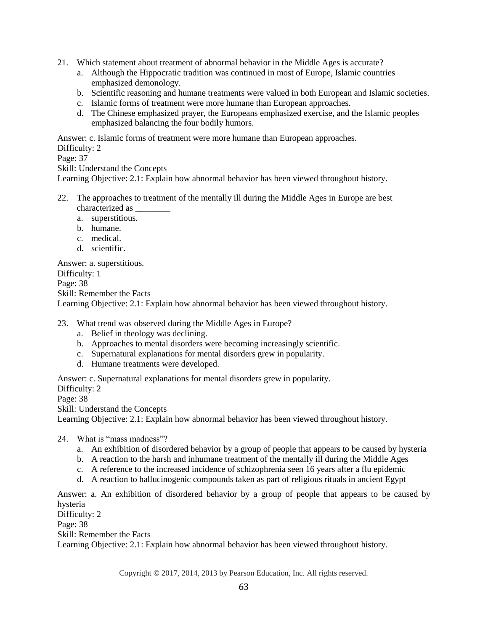- 21. Which statement about treatment of abnormal behavior in the Middle Ages is accurate?
	- a. Although the Hippocratic tradition was continued in most of Europe, Islamic countries emphasized demonology.
	- b. Scientific reasoning and humane treatments were valued in both European and Islamic societies.
	- c. Islamic forms of treatment were more humane than European approaches.
	- d. The Chinese emphasized prayer, the Europeans emphasized exercise, and the Islamic peoples emphasized balancing the four bodily humors.

Answer: c. Islamic forms of treatment were more humane than European approaches.

Difficulty: 2

Page: 37

Skill: Understand the Concepts

Learning Objective: 2.1: Explain how abnormal behavior has been viewed throughout history.

- 22. The approaches to treatment of the mentally ill during the Middle Ages in Europe are best characterized as \_\_\_\_\_\_\_\_
	- a. superstitious.
	- b. humane.
	- c. medical.
	- d. scientific.

Answer: a. superstitious. Difficulty: 1 Page: 38 Skill: Remember the Facts Learning Objective: 2.1: Explain how abnormal behavior has been viewed throughout history.

23. What trend was observed during the Middle Ages in Europe?

- a. Belief in theology was declining.
- b. Approaches to mental disorders were becoming increasingly scientific.
- c. Supernatural explanations for mental disorders grew in popularity.
- d. Humane treatments were developed.

Answer: c. Supernatural explanations for mental disorders grew in popularity. Difficulty: 2

Page: 38

Skill: Understand the Concepts

Learning Objective: 2.1: Explain how abnormal behavior has been viewed throughout history.

24. What is "mass madness"?

- a. An exhibition of disordered behavior by a group of people that appears to be caused by hysteria
- b. A reaction to the harsh and inhumane treatment of the mentally ill during the Middle Ages
- c. A reference to the increased incidence of schizophrenia seen 16 years after a flu epidemic
- d. A reaction to hallucinogenic compounds taken as part of religious rituals in ancient Egypt

Answer: a. An exhibition of disordered behavior by a group of people that appears to be caused by hysteria

Difficulty: 2

Page: 38

Skill: Remember the Facts

Learning Objective: 2.1: Explain how abnormal behavior has been viewed throughout history.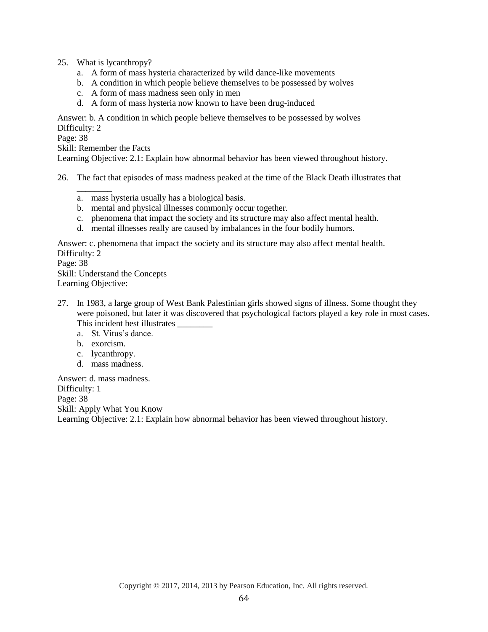- 25. What is lycanthropy?
	- a. A form of mass hysteria characterized by wild dance-like movements
	- b. A condition in which people believe themselves to be possessed by wolves
	- c. A form of mass madness seen only in men
	- d. A form of mass hysteria now known to have been drug-induced

Answer: b. A condition in which people believe themselves to be possessed by wolves Difficulty: 2

Page: 38

Skill: Remember the Facts

 $\overline{\phantom{a}}$ 

Learning Objective: 2.1: Explain how abnormal behavior has been viewed throughout history.

26. The fact that episodes of mass madness peaked at the time of the Black Death illustrates that

- a. mass hysteria usually has a biological basis.
- b. mental and physical illnesses commonly occur together.
- c. phenomena that impact the society and its structure may also affect mental health.
- d. mental illnesses really are caused by imbalances in the four bodily humors.

Answer: c. phenomena that impact the society and its structure may also affect mental health. Difficulty: 2

Page: 38

Skill: Understand the Concepts Learning Objective:

- 27. In 1983, a large group of West Bank Palestinian girls showed signs of illness. Some thought they were poisoned, but later it was discovered that psychological factors played a key role in most cases. This incident best illustrates \_\_\_\_\_\_\_\_\_
	- a. St. Vitus's dance.
	- b. exorcism.
	- c. lycanthropy.
	- d. mass madness.

Answer: d. mass madness. Difficulty: 1 Page: 38 Skill: Apply What You Know Learning Objective: 2.1: Explain how abnormal behavior has been viewed throughout history.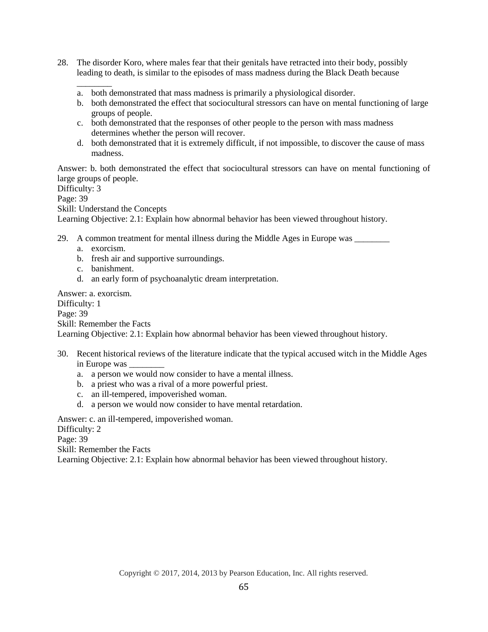- 28. The disorder Koro, where males fear that their genitals have retracted into their body, possibly leading to death, is similar to the episodes of mass madness during the Black Death because
	- \_\_\_\_\_\_\_\_ a. both demonstrated that mass madness is primarily a physiological disorder.
	- b. both demonstrated the effect that sociocultural stressors can have on mental functioning of large groups of people.
	- c. both demonstrated that the responses of other people to the person with mass madness determines whether the person will recover.
	- d. both demonstrated that it is extremely difficult, if not impossible, to discover the cause of mass madness.

Answer: b. both demonstrated the effect that sociocultural stressors can have on mental functioning of large groups of people.

Difficulty: 3

Page: 39

Skill: Understand the Concepts

Learning Objective: 2.1: Explain how abnormal behavior has been viewed throughout history.

- 29. A common treatment for mental illness during the Middle Ages in Europe was
	- a. exorcism.
	- b. fresh air and supportive surroundings.
	- c. banishment.
	- d. an early form of psychoanalytic dream interpretation.

Answer: a. exorcism. Difficulty: 1 Page: 39 Skill: Remember the Facts

Learning Objective: 2.1: Explain how abnormal behavior has been viewed throughout history.

- 30. Recent historical reviews of the literature indicate that the typical accused witch in the Middle Ages in Europe was \_\_\_\_\_\_\_\_
	- a. a person we would now consider to have a mental illness.
	- b. a priest who was a rival of a more powerful priest.
	- c. an ill-tempered, impoverished woman.
	- d. a person we would now consider to have mental retardation.

Answer: c. an ill-tempered, impoverished woman.

Difficulty: 2

Page: 39

Skill: Remember the Facts

Learning Objective: 2.1: Explain how abnormal behavior has been viewed throughout history.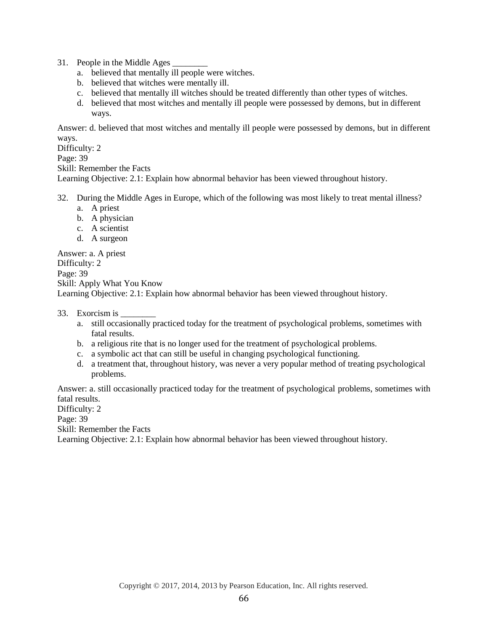31. People in the Middle Ages

- a. believed that mentally ill people were witches.
- b. believed that witches were mentally ill.
- c. believed that mentally ill witches should be treated differently than other types of witches.
- d. believed that most witches and mentally ill people were possessed by demons, but in different ways.

Answer: d. believed that most witches and mentally ill people were possessed by demons, but in different ways.

Difficulty: 2

Page: 39

Skill: Remember the Facts

Learning Objective: 2.1: Explain how abnormal behavior has been viewed throughout history.

- 32. During the Middle Ages in Europe, which of the following was most likely to treat mental illness?
	- a. A priest
	- b. A physician
	- c. A scientist
	- d. A surgeon

Answer: a. A priest Difficulty: 2 Page: 39 Skill: Apply What You Know Learning Objective: 2.1: Explain how abnormal behavior has been viewed throughout history.

### 33. Exorcism is

- a. still occasionally practiced today for the treatment of psychological problems, sometimes with fatal results.
- b. a religious rite that is no longer used for the treatment of psychological problems.
- c. a symbolic act that can still be useful in changing psychological functioning.
- d. a treatment that, throughout history, was never a very popular method of treating psychological problems.

Answer: a. still occasionally practiced today for the treatment of psychological problems, sometimes with fatal results.

Difficulty: 2

Page: 39

Skill: Remember the Facts

Learning Objective: 2.1: Explain how abnormal behavior has been viewed throughout history.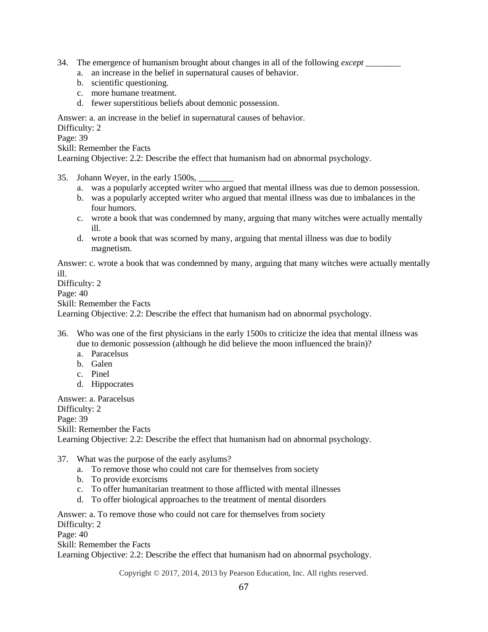- 34. The emergence of humanism brought about changes in all of the following *except \_\_\_\_\_\_\_\_*
	- a. an increase in the belief in supernatural causes of behavior.
	- b. scientific questioning.
	- c. more humane treatment.
	- d. fewer superstitious beliefs about demonic possession.

Answer: a. an increase in the belief in supernatural causes of behavior.

Difficulty: 2

Page: 39

Skill: Remember the Facts

Learning Objective: 2.2: Describe the effect that humanism had on abnormal psychology.

- 35. Johann Weyer, in the early 1500s,
	- a. was a popularly accepted writer who argued that mental illness was due to demon possession.
	- b. was a popularly accepted writer who argued that mental illness was due to imbalances in the four humors.
	- c. wrote a book that was condemned by many, arguing that many witches were actually mentally ill.
	- d. wrote a book that was scorned by many, arguing that mental illness was due to bodily magnetism.

Answer: c. wrote a book that was condemned by many, arguing that many witches were actually mentally ill.

Difficulty: 2

Page: 40

Skill: Remember the Facts

Learning Objective: 2.2: Describe the effect that humanism had on abnormal psychology.

- 36. Who was one of the first physicians in the early 1500s to criticize the idea that mental illness was due to demonic possession (although he did believe the moon influenced the brain)?
	- a. Paracelsus
	- b. Galen
	- c. Pinel
	- d. Hippocrates

Answer: a. Paracelsus Difficulty: 2 Page: 39 Skill: Remember the Facts Learning Objective: 2.2: Describe the effect that humanism had on abnormal psychology.

- 37. What was the purpose of the early asylums?
	- a. To remove those who could not care for themselves from society
	- b. To provide exorcisms
	- c. To offer humanitarian treatment to those afflicted with mental illnesses
	- d. To offer biological approaches to the treatment of mental disorders

Answer: a. To remove those who could not care for themselves from society Difficulty: 2 Page: 40 Skill: Remember the Facts

Learning Objective: 2.2: Describe the effect that humanism had on abnormal psychology.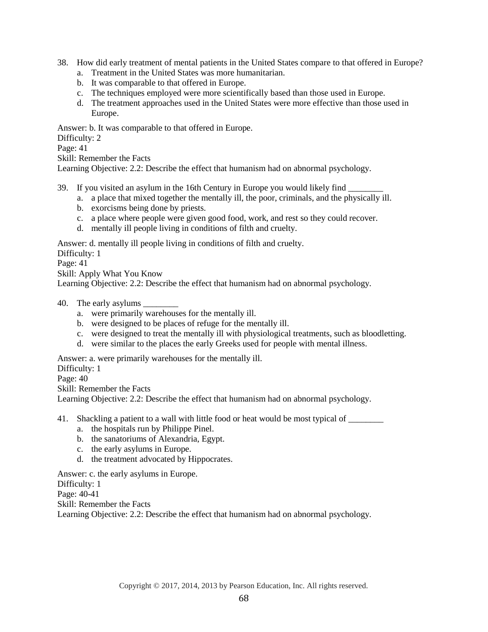- 38. How did early treatment of mental patients in the United States compare to that offered in Europe?
	- a. Treatment in the United States was more humanitarian.
	- b. It was comparable to that offered in Europe.
	- c. The techniques employed were more scientifically based than those used in Europe.
	- d. The treatment approaches used in the United States were more effective than those used in Europe.

Answer: b. It was comparable to that offered in Europe.

Difficulty: 2

Page: 41

Skill: Remember the Facts

Learning Objective: 2.2: Describe the effect that humanism had on abnormal psychology.

- 39. If you visited an asylum in the 16th Century in Europe you would likely find \_\_\_\_\_\_\_\_
	- a. a place that mixed together the mentally ill, the poor, criminals, and the physically ill.
	- b. exorcisms being done by priests.
	- c. a place where people were given good food, work, and rest so they could recover.
	- d. mentally ill people living in conditions of filth and cruelty.

Answer: d. mentally ill people living in conditions of filth and cruelty.

Difficulty: 1

Page: 41

Skill: Apply What You Know

Learning Objective: 2.2: Describe the effect that humanism had on abnormal psychology.

- 40. The early asylums \_\_\_\_\_\_\_\_
	- a. were primarily warehouses for the mentally ill.
	- b. were designed to be places of refuge for the mentally ill.
	- c. were designed to treat the mentally ill with physiological treatments, such as bloodletting.
	- d. were similar to the places the early Greeks used for people with mental illness.

Answer: a. were primarily warehouses for the mentally ill.

Difficulty: 1

Page: 40

Skill: Remember the Facts

Learning Objective: 2.2: Describe the effect that humanism had on abnormal psychology.

41. Shackling a patient to a wall with little food or heat would be most typical of

- a. the hospitals run by Philippe Pinel.
- b. the sanatoriums of Alexandria, Egypt.
- c. the early asylums in Europe.
- d. the treatment advocated by Hippocrates.

Answer: c. the early asylums in Europe.

Difficulty: 1

Page: 40-41

Skill: Remember the Facts

Learning Objective: 2.2: Describe the effect that humanism had on abnormal psychology.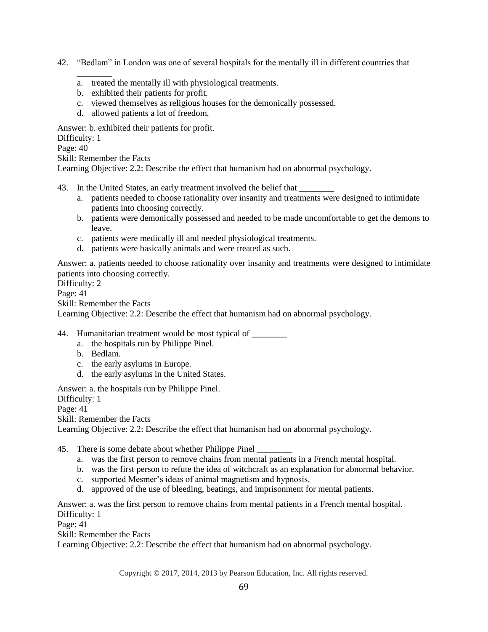- 42. "Bedlam" in London was one of several hospitals for the mentally ill in different countries that
	- a. treated the mentally ill with physiological treatments.
	- b. exhibited their patients for profit.
	- c. viewed themselves as religious houses for the demonically possessed.
	- d. allowed patients a lot of freedom.

Answer: b. exhibited their patients for profit.

Difficulty: 1

Page: 40

Skill: Remember the Facts

\_\_\_\_\_\_\_\_

Learning Objective: 2.2: Describe the effect that humanism had on abnormal psychology.

- 43. In the United States, an early treatment involved the belief that
	- a. patients needed to choose rationality over insanity and treatments were designed to intimidate patients into choosing correctly.
	- b. patients were demonically possessed and needed to be made uncomfortable to get the demons to leave.
	- c. patients were medically ill and needed physiological treatments.
	- d. patients were basically animals and were treated as such.

Answer: a. patients needed to choose rationality over insanity and treatments were designed to intimidate patients into choosing correctly.

Difficulty: 2

Page: 41

Skill: Remember the Facts

Learning Objective: 2.2: Describe the effect that humanism had on abnormal psychology.

44. Humanitarian treatment would be most typical of \_\_\_\_\_\_\_\_

- a. the hospitals run by Philippe Pinel.
- b. Bedlam.
- c. the early asylums in Europe.
- d. the early asylums in the United States.

Answer: a. the hospitals run by Philippe Pinel.

Difficulty: 1

Page: 41

Skill: Remember the Facts

Learning Objective: 2.2: Describe the effect that humanism had on abnormal psychology.

45. There is some debate about whether Philippe Pinel

- a. was the first person to remove chains from mental patients in a French mental hospital.
- b. was the first person to refute the idea of witchcraft as an explanation for abnormal behavior.
- c. supported Mesmer's ideas of animal magnetism and hypnosis.
- d. approved of the use of bleeding, beatings, and imprisonment for mental patients.

Answer: a. was the first person to remove chains from mental patients in a French mental hospital. Difficulty: 1

Page: 41

Skill: Remember the Facts

Learning Objective: 2.2: Describe the effect that humanism had on abnormal psychology.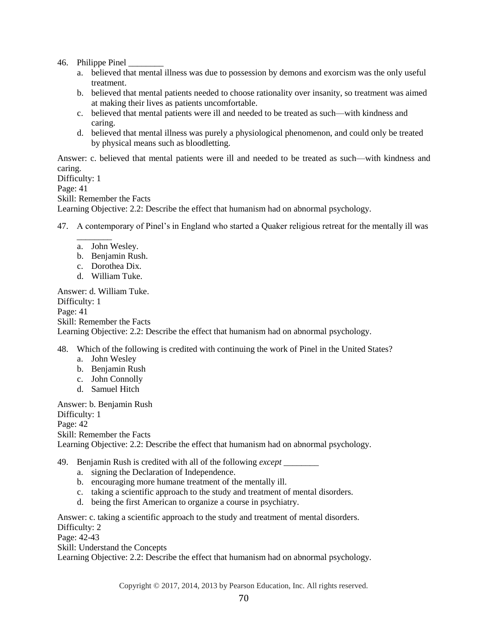46. Philippe Pinel

- a. believed that mental illness was due to possession by demons and exorcism was the only useful treatment.
- b. believed that mental patients needed to choose rationality over insanity, so treatment was aimed at making their lives as patients uncomfortable.
- c. believed that mental patients were ill and needed to be treated as such—with kindness and caring.
- d. believed that mental illness was purely a physiological phenomenon, and could only be treated by physical means such as bloodletting.

Answer: c. believed that mental patients were ill and needed to be treated as such—with kindness and caring. Difficulty: 1

Page: 41 Skill: Remember the Facts Learning Objective: 2.2: Describe the effect that humanism had on abnormal psychology.

47. A contemporary of Pinel's in England who started a Quaker religious retreat for the mentally ill was

- $\overline{\phantom{a}}$ a. John Wesley.
- b. Benjamin Rush.
- c. Dorothea Dix.
- d. William Tuke.

Answer: d. William Tuke. Difficulty: 1 Page: 41 Skill: Remember the Facts Learning Objective: 2.2: Describe the effect that humanism had on abnormal psychology.

48. Which of the following is credited with continuing the work of Pinel in the United States?

- a. John Wesley
- b. Benjamin Rush
- c. John Connolly
- d. Samuel Hitch

Answer: b. Benjamin Rush Difficulty: 1 Page: 42 Skill: Remember the Facts Learning Objective: 2.2: Describe the effect that humanism had on abnormal psychology.

49. Benjamin Rush is credited with all of the following *except \_\_\_\_\_\_\_\_*

- a. signing the Declaration of Independence.
- b. encouraging more humane treatment of the mentally ill.
- c. taking a scientific approach to the study and treatment of mental disorders.
- d. being the first American to organize a course in psychiatry.

Answer: c. taking a scientific approach to the study and treatment of mental disorders. Difficulty: 2 Page: 42-43

Skill: Understand the Concepts

Learning Objective: 2.2: Describe the effect that humanism had on abnormal psychology.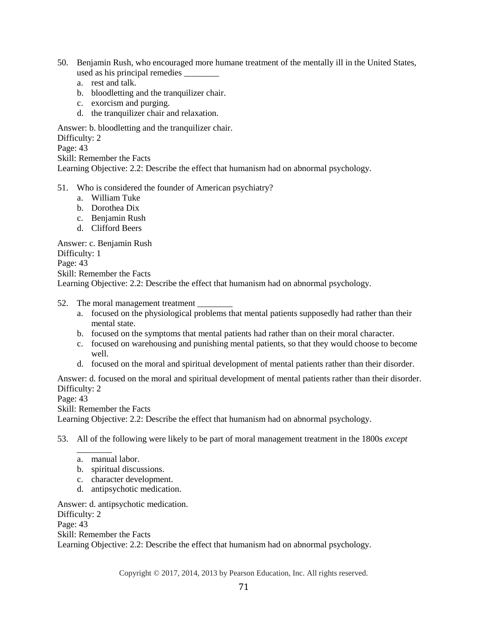- 50. Benjamin Rush, who encouraged more humane treatment of the mentally ill in the United States, used as his principal remedies \_\_\_\_\_\_\_\_
	- a. rest and talk.
	- b. bloodletting and the tranquilizer chair.
	- c. exorcism and purging.
	- d. the tranquilizer chair and relaxation.

Answer: b. bloodletting and the tranquilizer chair.

Difficulty: 2

Page: 43

Skill: Remember the Facts

Learning Objective: 2.2: Describe the effect that humanism had on abnormal psychology.

### 51. Who is considered the founder of American psychiatry?

- a. William Tuke
- b. Dorothea Dix
- c. Benjamin Rush
- d. Clifford Beers

Answer: c. Benjamin Rush

Difficulty: 1

Page: 43

Skill: Remember the Facts

Learning Objective: 2.2: Describe the effect that humanism had on abnormal psychology.

- 52. The moral management treatment
	- a. focused on the physiological problems that mental patients supposedly had rather than their mental state.
	- b. focused on the symptoms that mental patients had rather than on their moral character.
	- c. focused on warehousing and punishing mental patients, so that they would choose to become well.
	- d. focused on the moral and spiritual development of mental patients rather than their disorder.

Answer: d. focused on the moral and spiritual development of mental patients rather than their disorder. Difficulty: 2

Page: 43

Skill: Remember the Facts

Learning Objective: 2.2: Describe the effect that humanism had on abnormal psychology.

53. All of the following were likely to be part of moral management treatment in the 1800s *except* 

a. manual labor.

*\_\_\_\_\_\_\_\_*

- b. spiritual discussions.
- c. character development.
- d. antipsychotic medication.

Answer: d. antipsychotic medication.

Difficulty: 2 Page: 43

Skill: Remember the Facts

Learning Objective: 2.2: Describe the effect that humanism had on abnormal psychology.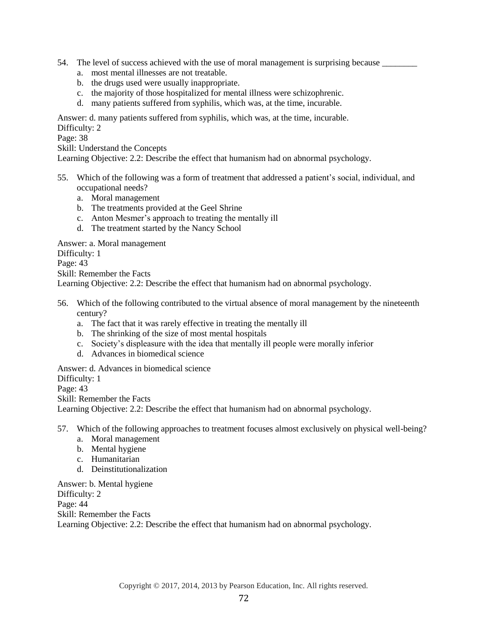- 54. The level of success achieved with the use of moral management is surprising because
	- a. most mental illnesses are not treatable.
	- b. the drugs used were usually inappropriate.
	- c. the majority of those hospitalized for mental illness were schizophrenic.
	- d. many patients suffered from syphilis, which was, at the time, incurable.

Answer: d. many patients suffered from syphilis, which was, at the time, incurable.

Difficulty: 2

Page: 38

Skill: Understand the Concepts

Learning Objective: 2.2: Describe the effect that humanism had on abnormal psychology.

- 55. Which of the following was a form of treatment that addressed a patient's social, individual, and occupational needs?
	- a. Moral management
	- b. The treatments provided at the Geel Shrine
	- c. Anton Mesmer's approach to treating the mentally ill
	- d. The treatment started by the Nancy School

Answer: a. Moral management

Difficulty: 1

Page: 43

Skill: Remember the Facts

Learning Objective: 2.2: Describe the effect that humanism had on abnormal psychology.

- 56. Which of the following contributed to the virtual absence of moral management by the nineteenth century?
	- a. The fact that it was rarely effective in treating the mentally ill
	- b. The shrinking of the size of most mental hospitals
	- c. Society's displeasure with the idea that mentally ill people were morally inferior
	- d. Advances in biomedical science

Answer: d. Advances in biomedical science

Difficulty: 1

Page: 43

Skill: Remember the Facts

Learning Objective: 2.2: Describe the effect that humanism had on abnormal psychology.

57. Which of the following approaches to treatment focuses almost exclusively on physical well-being?

- a. Moral management
- b. Mental hygiene
- c. Humanitarian
- d. Deinstitutionalization

Answer: b. Mental hygiene Difficulty: 2 Page: 44 Skill: Remember the Facts Learning Objective: 2.2: Describe the effect that humanism had on abnormal psychology.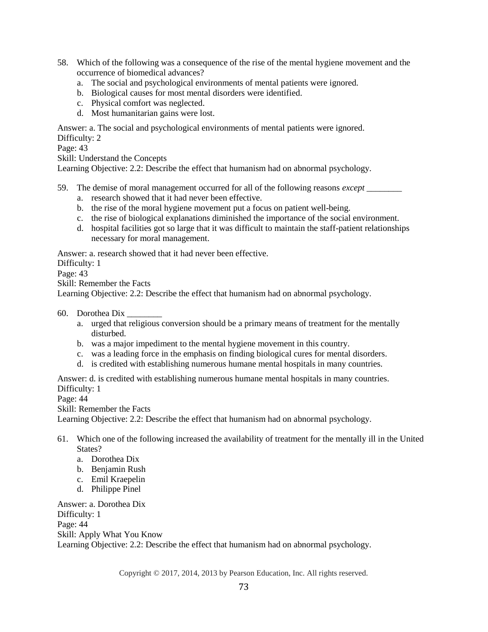- 58. Which of the following was a consequence of the rise of the mental hygiene movement and the occurrence of biomedical advances?
	- a. The social and psychological environments of mental patients were ignored.
	- b. Biological causes for most mental disorders were identified.
	- c. Physical comfort was neglected.
	- d. Most humanitarian gains were lost.

Answer: a. The social and psychological environments of mental patients were ignored.

Difficulty: 2

Page: 43

Skill: Understand the Concepts

Learning Objective: 2.2: Describe the effect that humanism had on abnormal psychology.

- 59. The demise of moral management occurred for all of the following reasons *except \_\_\_\_\_\_\_\_*
	- a. research showed that it had never been effective.
	- b. the rise of the moral hygiene movement put a focus on patient well-being.
	- c. the rise of biological explanations diminished the importance of the social environment.
	- d. hospital facilities got so large that it was difficult to maintain the staff-patient relationships necessary for moral management.

Answer: a. research showed that it had never been effective.

Difficulty: 1

Page: 43

Skill: Remember the Facts

Learning Objective: 2.2: Describe the effect that humanism had on abnormal psychology.

60. Dorothea Dix \_\_\_\_\_\_\_\_

- a. urged that religious conversion should be a primary means of treatment for the mentally disturbed.
- b. was a major impediment to the mental hygiene movement in this country.
- c. was a leading force in the emphasis on finding biological cures for mental disorders.
- d. is credited with establishing numerous humane mental hospitals in many countries.

Answer: d. is credited with establishing numerous humane mental hospitals in many countries. Difficulty: 1

Page: 44

Skill: Remember the Facts

Learning Objective: 2.2: Describe the effect that humanism had on abnormal psychology.

- 61. Which one of the following increased the availability of treatment for the mentally ill in the United States?
	- a. Dorothea Dix
	- b. Benjamin Rush
	- c. Emil Kraepelin
	- d. Philippe Pinel

Answer: a. Dorothea Dix Difficulty: 1 Page: 44 Skill: Apply What You Know Learning Objective: 2.2: Describe the effect that humanism had on abnormal psychology.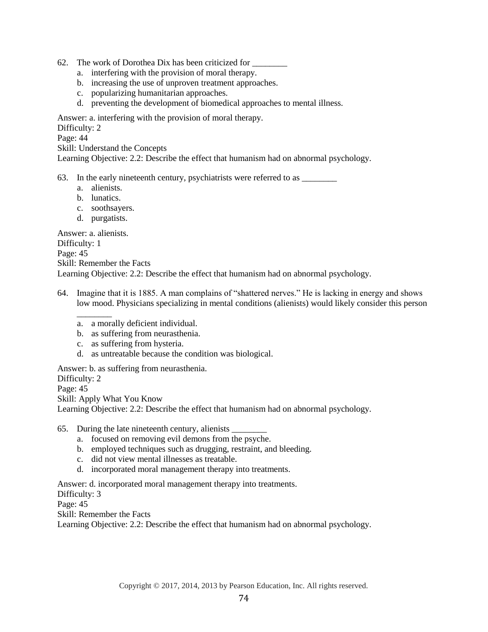- 62. The work of Dorothea Dix has been criticized for
	- a. interfering with the provision of moral therapy.
	- b. increasing the use of unproven treatment approaches.
	- c. popularizing humanitarian approaches.
	- d. preventing the development of biomedical approaches to mental illness.

Answer: a. interfering with the provision of moral therapy.

Difficulty: 2

Page: 44

Skill: Understand the Concepts

Learning Objective: 2.2: Describe the effect that humanism had on abnormal psychology.

63. In the early nineteenth century, psychiatrists were referred to as \_\_\_\_\_\_\_\_

- a. alienists.
- b. lunatics.
- c. soothsayers.
- d. purgatists.

Answer: a. alienists.

Difficulty: 1 Page: 45 Skill: Remember the Facts Learning Objective: 2.2: Describe the effect that humanism had on abnormal psychology.

- 64. Imagine that it is 1885. A man complains of "shattered nerves." He is lacking in energy and shows low mood. Physicians specializing in mental conditions (alienists) would likely consider this person
	- \_\_\_\_\_\_\_\_ a. a morally deficient individual.
	- b. as suffering from neurasthenia.
	- c. as suffering from hysteria.
	- d. as untreatable because the condition was biological.

Answer: b. as suffering from neurasthenia. Difficulty: 2 Page: 45 Skill: Apply What You Know Learning Objective: 2.2: Describe the effect that humanism had on abnormal psychology.

65. During the late nineteenth century, alienists \_\_\_\_\_\_\_\_

- a. focused on removing evil demons from the psyche.
- b. employed techniques such as drugging, restraint, and bleeding.
- c. did not view mental illnesses as treatable.
- d. incorporated moral management therapy into treatments.

Answer: d. incorporated moral management therapy into treatments.

Difficulty: 3

Page: 45

Skill: Remember the Facts

Learning Objective: 2.2: Describe the effect that humanism had on abnormal psychology.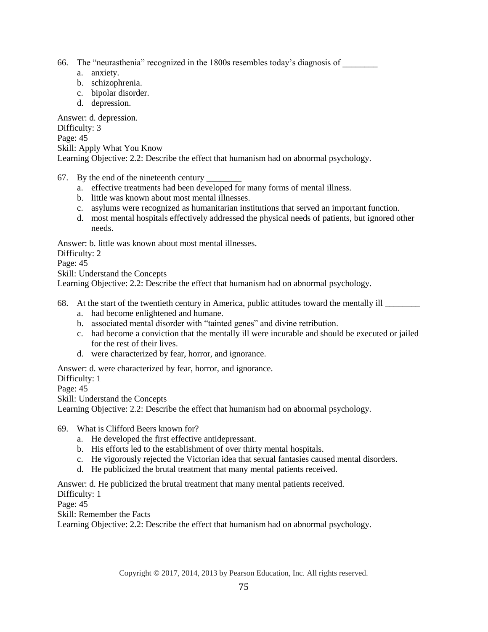- 66. The "neurasthenia" recognized in the 1800s resembles today's diagnosis of \_\_\_\_\_\_\_\_
	- a. anxiety.
	- b. schizophrenia.
	- c. bipolar disorder.
	- d. depression.

Answer: d. depression. Difficulty: 3 Page: 45 Skill: Apply What You Know Learning Objective: 2.2: Describe the effect that humanism had on abnormal psychology.

- 67. By the end of the nineteenth century \_\_\_\_\_\_\_\_
	- a. effective treatments had been developed for many forms of mental illness.
	- b. little was known about most mental illnesses.
	- c. asylums were recognized as humanitarian institutions that served an important function.
	- d. most mental hospitals effectively addressed the physical needs of patients, but ignored other needs.

Answer: b. little was known about most mental illnesses.

Difficulty: 2

Page: 45

Skill: Understand the Concepts

Learning Objective: 2.2: Describe the effect that humanism had on abnormal psychology.

- 68. At the start of the twentieth century in America, public attitudes toward the mentally ill \_\_\_\_\_\_\_\_ a. had become enlightened and humane.
	- b. associated mental disorder with "tainted genes" and divine retribution.
	- c. had become a conviction that the mentally ill were incurable and should be executed or jailed for the rest of their lives.
	- d. were characterized by fear, horror, and ignorance.

Answer: d. were characterized by fear, horror, and ignorance.

Difficulty: 1

Page: 45

Skill: Understand the Concepts

Learning Objective: 2.2: Describe the effect that humanism had on abnormal psychology.

69. What is Clifford Beers known for?

- a. He developed the first effective antidepressant.
- b. His efforts led to the establishment of over thirty mental hospitals.
- c. He vigorously rejected the Victorian idea that sexual fantasies caused mental disorders.
- d. He publicized the brutal treatment that many mental patients received.

Answer: d. He publicized the brutal treatment that many mental patients received.

Difficulty: 1

Page: 45

Skill: Remember the Facts

Learning Objective: 2.2: Describe the effect that humanism had on abnormal psychology.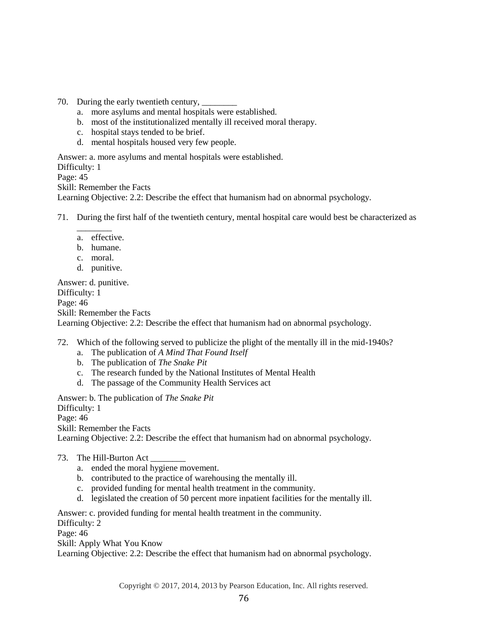- 70. During the early twentieth century,
	- a. more asylums and mental hospitals were established.
	- b. most of the institutionalized mentally ill received moral therapy.
	- c. hospital stays tended to be brief.
	- d. mental hospitals housed very few people.

Answer: a. more asylums and mental hospitals were established. Difficulty: 1 Page: 45 Skill: Remember the Facts Learning Objective: 2.2: Describe the effect that humanism had on abnormal psychology.

- 71. During the first half of the twentieth century, mental hospital care would best be characterized as
	- \_\_\_\_\_\_\_\_ a. effective.
	- b. humane.
	- c. moral.
	- d. punitive.

Answer: d. punitive. Difficulty: 1 Page: 46 Skill: Remember the Facts Learning Objective: 2.2: Describe the effect that humanism had on abnormal psychology.

- 72. Which of the following served to publicize the plight of the mentally ill in the mid-1940s?
	- a. The publication of *A Mind That Found Itself*
	- b. The publication of *The Snake Pit*
	- c. The research funded by the National Institutes of Mental Health
	- d. The passage of the Community Health Services act

Answer: b. The publication of *The Snake Pit*

Difficulty: 1

Page: 46

Skill: Remember the Facts

Learning Objective: 2.2: Describe the effect that humanism had on abnormal psychology.

- 73. The Hill-Burton Act
	- a. ended the moral hygiene movement.
	- b. contributed to the practice of warehousing the mentally ill.
	- c. provided funding for mental health treatment in the community.
	- d. legislated the creation of 50 percent more inpatient facilities for the mentally ill.

Answer: c. provided funding for mental health treatment in the community.

Difficulty: 2

Page: 46

Skill: Apply What You Know

Learning Objective: 2.2: Describe the effect that humanism had on abnormal psychology.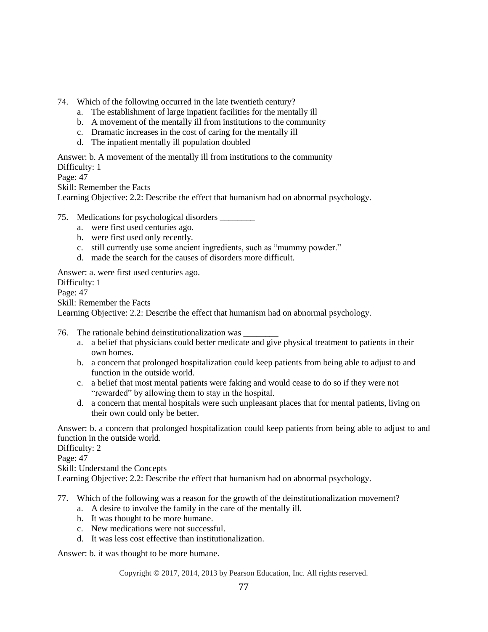- 74. Which of the following occurred in the late twentieth century?
	- a. The establishment of large inpatient facilities for the mentally ill
	- b. A movement of the mentally ill from institutions to the community
	- c. Dramatic increases in the cost of caring for the mentally ill
	- d. The inpatient mentally ill population doubled

Answer: b. A movement of the mentally ill from institutions to the community Difficulty: 1

Page: 47

Skill: Remember the Facts

Learning Objective: 2.2: Describe the effect that humanism had on abnormal psychology.

- 75. Medications for psychological disorders \_\_\_\_\_\_\_\_
	- a. were first used centuries ago.
	- b. were first used only recently.
	- c. still currently use some ancient ingredients, such as "mummy powder."
	- d. made the search for the causes of disorders more difficult.

Answer: a. were first used centuries ago.

Difficulty: 1

Page: 47

Skill: Remember the Facts

Learning Objective: 2.2: Describe the effect that humanism had on abnormal psychology.

76. The rationale behind deinstitutionalization was

- a. a belief that physicians could better medicate and give physical treatment to patients in their own homes.
- b. a concern that prolonged hospitalization could keep patients from being able to adjust to and function in the outside world.
- c. a belief that most mental patients were faking and would cease to do so if they were not "rewarded" by allowing them to stay in the hospital.
- d. a concern that mental hospitals were such unpleasant places that for mental patients, living on their own could only be better.

Answer: b. a concern that prolonged hospitalization could keep patients from being able to adjust to and function in the outside world.

Difficulty: 2

Page: 47

Skill: Understand the Concepts

Learning Objective: 2.2: Describe the effect that humanism had on abnormal psychology.

77. Which of the following was a reason for the growth of the deinstitutionalization movement?

- a. A desire to involve the family in the care of the mentally ill.
- b. It was thought to be more humane.
- c. New medications were not successful.
- d. It was less cost effective than institutionalization.

Answer: b. it was thought to be more humane.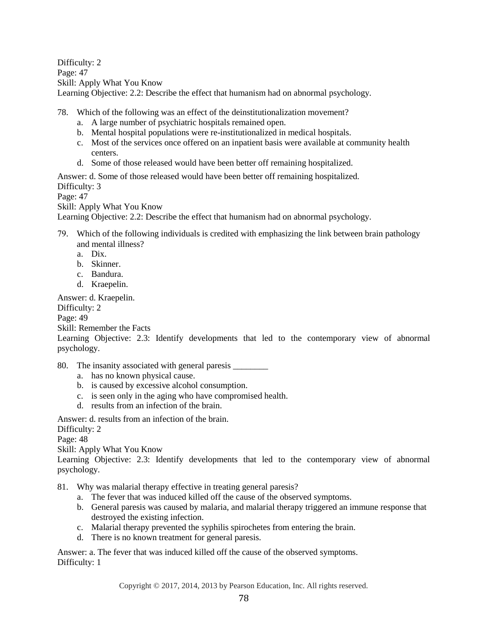Difficulty: 2 Page: 47 Skill: Apply What You Know Learning Objective: 2.2: Describe the effect that humanism had on abnormal psychology.

78. Which of the following was an effect of the deinstitutionalization movement?

- a. A large number of psychiatric hospitals remained open.
- b. Mental hospital populations were re-institutionalized in medical hospitals.
- c. Most of the services once offered on an inpatient basis were available at community health centers.
- d. Some of those released would have been better off remaining hospitalized.

Answer: d. Some of those released would have been better off remaining hospitalized.

Difficulty: 3

Page: 47

Skill: Apply What You Know

Learning Objective: 2.2: Describe the effect that humanism had on abnormal psychology.

- 79. Which of the following individuals is credited with emphasizing the link between brain pathology and mental illness?
	- a. Dix.
	- b. Skinner.
	- c. Bandura.
	- d. Kraepelin.

Answer: d. Kraepelin.

Difficulty: 2

Page: 49

Skill: Remember the Facts

Learning Objective: 2.3: Identify developments that led to the contemporary view of abnormal psychology.

80. The insanity associated with general paresis

- a. has no known physical cause.
- b. is caused by excessive alcohol consumption.
- c. is seen only in the aging who have compromised health.
- d. results from an infection of the brain.

Answer: d. results from an infection of the brain.

Difficulty: 2

Page: 48

Skill: Apply What You Know

Learning Objective: 2.3: Identify developments that led to the contemporary view of abnormal psychology.

81. Why was malarial therapy effective in treating general paresis?

- a. The fever that was induced killed off the cause of the observed symptoms.
- b. General paresis was caused by malaria, and malarial therapy triggered an immune response that destroyed the existing infection.
- c. Malarial therapy prevented the syphilis spirochetes from entering the brain.
- d. There is no known treatment for general paresis.

Answer: a. The fever that was induced killed off the cause of the observed symptoms. Difficulty: 1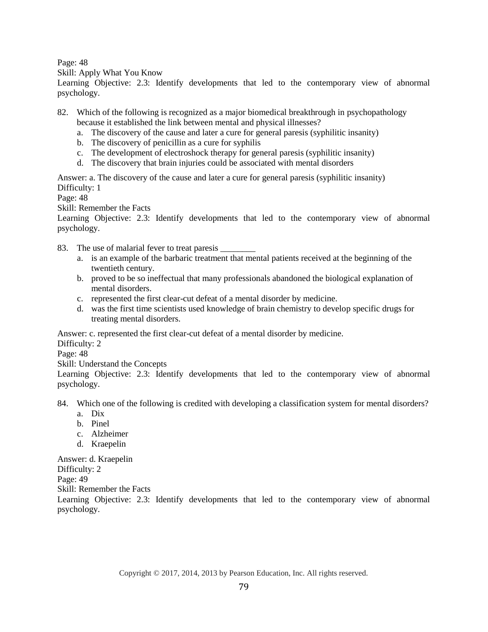Page: 48

Skill: Apply What You Know

Learning Objective: 2.3: Identify developments that led to the contemporary view of abnormal psychology.

82. Which of the following is recognized as a major biomedical breakthrough in psychopathology because it established the link between mental and physical illnesses?

- a. The discovery of the cause and later a cure for general paresis (syphilitic insanity)
- b. The discovery of penicillin as a cure for syphilis
- c. The development of electroshock therapy for general paresis (syphilitic insanity)
- d. The discovery that brain injuries could be associated with mental disorders

Answer: a. The discovery of the cause and later a cure for general paresis (syphilitic insanity) Difficulty: 1

Page: 48

Skill: Remember the Facts

Learning Objective: 2.3: Identify developments that led to the contemporary view of abnormal psychology.

83. The use of malarial fever to treat paresis

- a. is an example of the barbaric treatment that mental patients received at the beginning of the twentieth century.
- b. proved to be so ineffectual that many professionals abandoned the biological explanation of mental disorders.
- c. represented the first clear-cut defeat of a mental disorder by medicine.
- d. was the first time scientists used knowledge of brain chemistry to develop specific drugs for treating mental disorders.

Answer: c. represented the first clear-cut defeat of a mental disorder by medicine.

Difficulty: 2

Page: 48

Skill: Understand the Concepts

Learning Objective: 2.3: Identify developments that led to the contemporary view of abnormal psychology.

84. Which one of the following is credited with developing a classification system for mental disorders?

- a. Dix
- b. Pinel
- c. Alzheimer
- d. Kraepelin

Answer: d. Kraepelin Difficulty: 2 Page: 49 Skill: Remember the Facts

Learning Objective: 2.3: Identify developments that led to the contemporary view of abnormal psychology.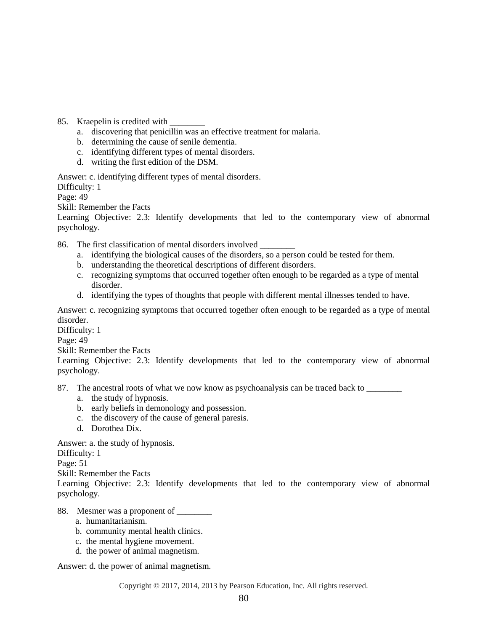- 85. Kraepelin is credited with
	- a. discovering that penicillin was an effective treatment for malaria.
	- b. determining the cause of senile dementia.
	- c. identifying different types of mental disorders.
	- d. writing the first edition of the DSM.

Answer: c. identifying different types of mental disorders.

Difficulty: 1

Page: 49

Skill: Remember the Facts

Learning Objective: 2.3: Identify developments that led to the contemporary view of abnormal psychology.

86. The first classification of mental disorders involved \_\_\_\_\_\_\_\_

- a. identifying the biological causes of the disorders, so a person could be tested for them.
- b. understanding the theoretical descriptions of different disorders.
- c. recognizing symptoms that occurred together often enough to be regarded as a type of mental disorder.
- d. identifying the types of thoughts that people with different mental illnesses tended to have.

Answer: c. recognizing symptoms that occurred together often enough to be regarded as a type of mental disorder.

Difficulty: 1

Page: 49

Skill: Remember the Facts

Learning Objective: 2.3: Identify developments that led to the contemporary view of abnormal psychology.

87. The ancestral roots of what we now know as psychoanalysis can be traced back to

- a. the study of hypnosis.
- b. early beliefs in demonology and possession.
- c. the discovery of the cause of general paresis.
- d. Dorothea Dix.

Answer: a. the study of hypnosis.

Difficulty: 1

Page: 51

Skill: Remember the Facts

Learning Objective: 2.3: Identify developments that led to the contemporary view of abnormal psychology.

### 88. Mesmer was a proponent of

- a. humanitarianism.
- b. community mental health clinics.
- c. the mental hygiene movement.
- d. the power of animal magnetism.

Answer: d. the power of animal magnetism.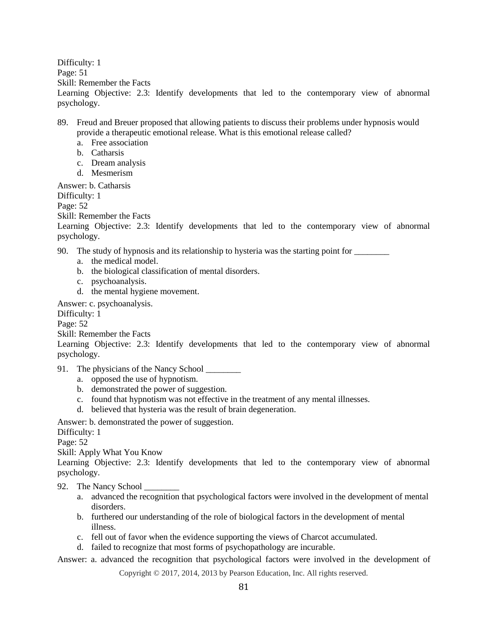Difficulty: 1 Page: 51 Skill: Remember the Facts Learning Objective: 2.3: Identify developments that led to the contemporary view of abnormal psychology.

- 89. Freud and Breuer proposed that allowing patients to discuss their problems under hypnosis would provide a therapeutic emotional release. What is this emotional release called?
	- a. Free association
	- b. Catharsis
	- c. Dream analysis
	- d. Mesmerism

Answer: b. Catharsis

Difficulty: 1

Page: 52

Skill: Remember the Facts

Learning Objective: 2.3: Identify developments that led to the contemporary view of abnormal psychology.

90. The study of hypnosis and its relationship to hysteria was the starting point for  $\sqrt{ }$ 

- a. the medical model.
- b. the biological classification of mental disorders.
- c. psychoanalysis.
- d. the mental hygiene movement.

Answer: c. psychoanalysis.

Difficulty: 1

Page: 52

Skill: Remember the Facts

Learning Objective: 2.3: Identify developments that led to the contemporary view of abnormal psychology.

- 91. The physicians of the Nancy School
	- a. opposed the use of hypnotism.
	- b. demonstrated the power of suggestion.
	- c. found that hypnotism was not effective in the treatment of any mental illnesses.
	- d. believed that hysteria was the result of brain degeneration.

Answer: b. demonstrated the power of suggestion.

Difficulty: 1

Page: 52

Skill: Apply What You Know

Learning Objective: 2.3: Identify developments that led to the contemporary view of abnormal psychology.

### 92. The Nancy School \_\_\_\_\_\_\_\_

- a. advanced the recognition that psychological factors were involved in the development of mental disorders.
- b. furthered our understanding of the role of biological factors in the development of mental illness.
- c. fell out of favor when the evidence supporting the views of Charcot accumulated.
- d. failed to recognize that most forms of psychopathology are incurable.

Answer: a. advanced the recognition that psychological factors were involved in the development of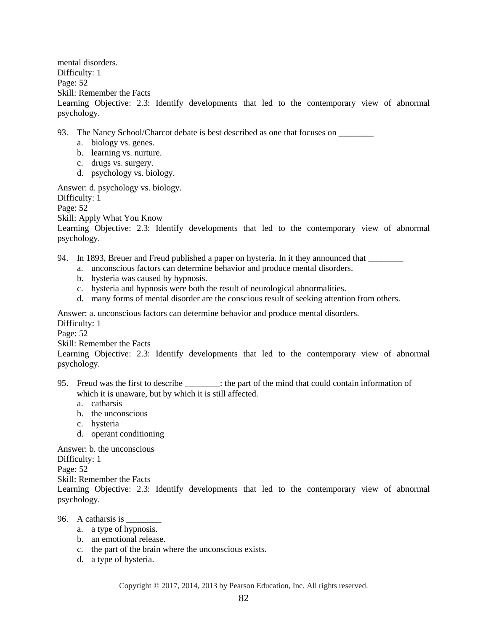mental disorders. Difficulty: 1 Page: 52 Skill: Remember the Facts Learning Objective: 2.3: Identify developments that led to the contemporary view of abnormal psychology.

93. The Nancy School/Charcot debate is best described as one that focuses on

- a. biology vs. genes.
- b. learning vs. nurture.
- c. drugs vs. surgery.
- d. psychology vs. biology.

Answer: d. psychology vs. biology.

Difficulty: 1

Page: 52

Skill: Apply What You Know

Learning Objective: 2.3: Identify developments that led to the contemporary view of abnormal psychology.

94. In 1893, Breuer and Freud published a paper on hysteria. In it they announced that \_\_\_\_\_\_\_\_

- a. unconscious factors can determine behavior and produce mental disorders.
- b. hysteria was caused by hypnosis.
- c. hysteria and hypnosis were both the result of neurological abnormalities.
- d. many forms of mental disorder are the conscious result of seeking attention from others.

Answer: a. unconscious factors can determine behavior and produce mental disorders.

Difficulty: 1

Page: 52

Skill: Remember the Facts

Learning Objective: 2.3: Identify developments that led to the contemporary view of abnormal psychology.

- 95. Freud was the first to describe \_\_\_\_\_\_\_\_: the part of the mind that could contain information of which it is unaware, but by which it is still affected.
	- a. catharsis
	- b. the unconscious
	- c. hysteria
	- d. operant conditioning

Answer: b. the unconscious

Difficulty: 1

Page: 52

Skill: Remember the Facts

Learning Objective: 2.3: Identify developments that led to the contemporary view of abnormal psychology.

96. A catharsis is \_\_\_\_\_\_\_\_

- a. a type of hypnosis.
- b. an emotional release.
- c. the part of the brain where the unconscious exists.
- d. a type of hysteria.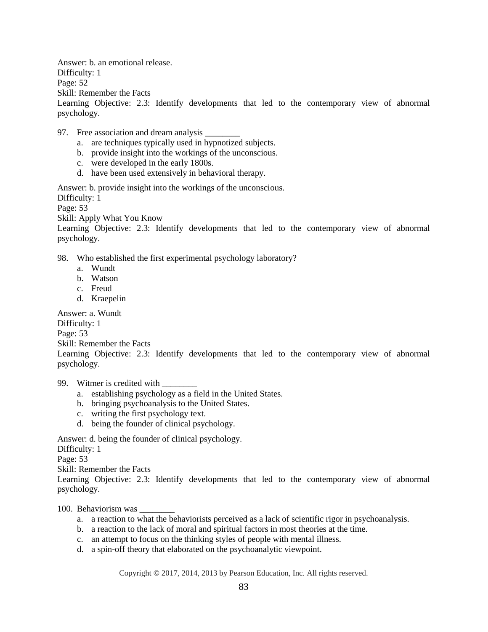Answer: b. an emotional release. Difficulty: 1 Page: 52 Skill: Remember the Facts Learning Objective: 2.3: Identify developments that led to the contemporary view of abnormal psychology.

- 97. Free association and dream analysis
	- a. are techniques typically used in hypnotized subjects.
	- b. provide insight into the workings of the unconscious.
	- c. were developed in the early 1800s.
	- d. have been used extensively in behavioral therapy.

Answer: b. provide insight into the workings of the unconscious.

Difficulty: 1

Page: 53

Skill: Apply What You Know

Learning Objective: 2.3: Identify developments that led to the contemporary view of abnormal psychology.

98. Who established the first experimental psychology laboratory?

- a. Wundt
- b. Watson
- c. Freud
- d. Kraepelin

Answer: a. Wundt

Difficulty: 1

Page: 53

Skill: Remember the Facts

Learning Objective: 2.3: Identify developments that led to the contemporary view of abnormal psychology.

99. Witmer is credited with

- a. establishing psychology as a field in the United States.
- b. bringing psychoanalysis to the United States.
- c. writing the first psychology text.
- d. being the founder of clinical psychology.

Answer: d. being the founder of clinical psychology.

Difficulty: 1

Page: 53

Skill: Remember the Facts

Learning Objective: 2.3: Identify developments that led to the contemporary view of abnormal psychology.

100. Behaviorism was \_\_\_\_\_\_\_\_

- a. a reaction to what the behaviorists perceived as a lack of scientific rigor in psychoanalysis.
- b. a reaction to the lack of moral and spiritual factors in most theories at the time.
- c. an attempt to focus on the thinking styles of people with mental illness.
- d. a spin-off theory that elaborated on the psychoanalytic viewpoint.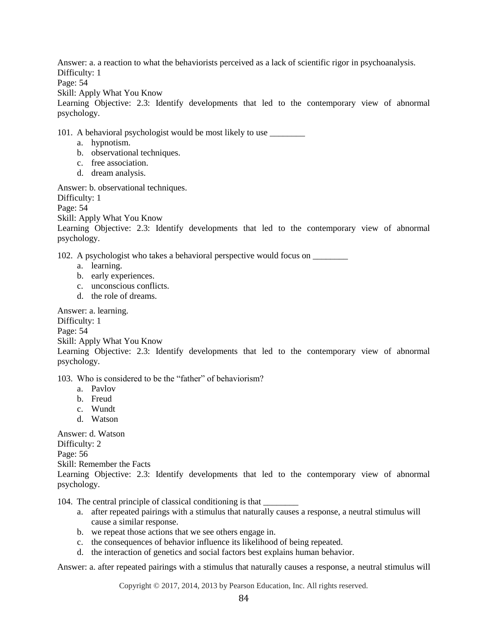Answer: a. a reaction to what the behaviorists perceived as a lack of scientific rigor in psychoanalysis. Difficulty: 1

Page: 54

Skill: Apply What You Know

Learning Objective: 2.3: Identify developments that led to the contemporary view of abnormal psychology.

101. A behavioral psychologist would be most likely to use

- a. hypnotism.
- b. observational techniques.
- c. free association.
- d. dream analysis.

Answer: b. observational techniques.

Difficulty: 1

Page: 54

Skill: Apply What You Know

Learning Objective: 2.3: Identify developments that led to the contemporary view of abnormal psychology.

102. A psychologist who takes a behavioral perspective would focus on \_\_\_\_\_\_\_\_

- a. learning.
- b. early experiences.
- c. unconscious conflicts.
- d. the role of dreams.

Answer: a. learning.

Difficulty: 1

Page: 54

Skill: Apply What You Know

Learning Objective: 2.3: Identify developments that led to the contemporary view of abnormal psychology.

103. Who is considered to be the "father" of behaviorism?

- a. Pavlov
- b. Freud
- c. Wundt
- d. Watson

Answer: d. Watson Difficulty: 2 Page: 56 Skill: Remember the Facts Learning Objective: 2.3: Identify developments that led to the contemporary view of abnormal psychology.

104. The central principle of classical conditioning is that \_\_\_\_\_\_\_\_

- a. after repeated pairings with a stimulus that naturally causes a response, a neutral stimulus will cause a similar response.
- b. we repeat those actions that we see others engage in.
- c. the consequences of behavior influence its likelihood of being repeated.
- d. the interaction of genetics and social factors best explains human behavior.

Answer: a. after repeated pairings with a stimulus that naturally causes a response, a neutral stimulus will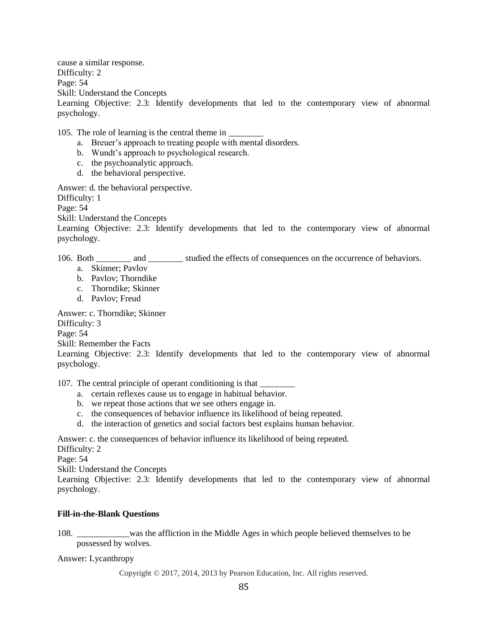cause a similar response. Difficulty: 2 Page: 54 Skill: Understand the Concepts Learning Objective: 2.3: Identify developments that led to the contemporary view of abnormal psychology.

105. The role of learning is the central theme in

- a. Breuer's approach to treating people with mental disorders.
- b. Wundt's approach to psychological research.
- c. the psychoanalytic approach.
- d. the behavioral perspective.

Answer: d. the behavioral perspective.

Difficulty: 1

Page: 54

Skill: Understand the Concepts

Learning Objective: 2.3: Identify developments that led to the contemporary view of abnormal psychology.

106. Both \_\_\_\_\_\_\_\_ and \_\_\_\_\_\_\_\_ studied the effects of consequences on the occurrence of behaviors.

- a. Skinner; Pavlov
- b. Pavlov; Thorndike
- c. Thorndike; Skinner
- d. Pavlov; Freud

Answer: c. Thorndike; Skinner

Difficulty: 3

Page: 54

Skill: Remember the Facts

Learning Objective: 2.3: Identify developments that led to the contemporary view of abnormal psychology.

107. The central principle of operant conditioning is that

- a. certain reflexes cause us to engage in habitual behavior.
- b. we repeat those actions that we see others engage in.
- c. the consequences of behavior influence its likelihood of being repeated.
- d. the interaction of genetics and social factors best explains human behavior.

Answer: c. the consequences of behavior influence its likelihood of being repeated.

Difficulty: 2

Page: 54

Skill: Understand the Concepts

Learning Objective: 2.3: Identify developments that led to the contemporary view of abnormal psychology.

### <span id="page-29-0"></span>**Fill-in-the-Blank Questions**

108. \_\_\_\_\_\_\_\_\_\_\_\_was the affliction in the Middle Ages in which people believed themselves to be possessed by wolves.

Answer: Lycanthropy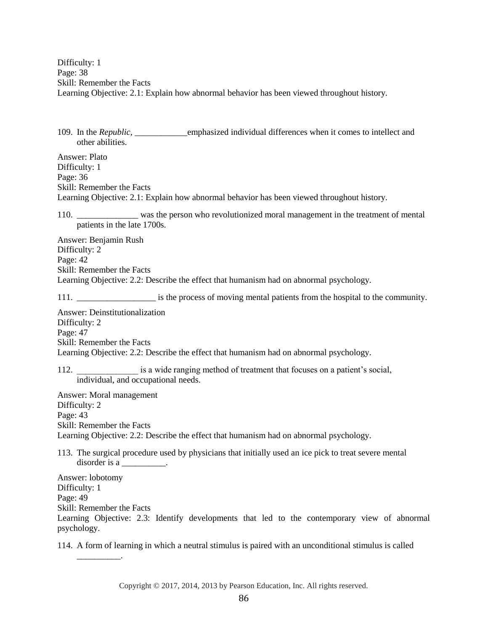Difficulty: 1 Page: 38 Skill: Remember the Facts Learning Objective: 2.1: Explain how abnormal behavior has been viewed throughout history.

109. In the *Republic*, emphasized individual differences when it comes to intellect and other abilities.

Answer: Plato Difficulty: 1 Page: 36 Skill: Remember the Facts Learning Objective: 2.1: Explain how abnormal behavior has been viewed throughout history.

110. \_\_\_\_\_\_\_\_\_\_\_\_\_\_ was the person who revolutionized moral management in the treatment of mental patients in the late 1700s.

Answer: Benjamin Rush Difficulty: 2 Page: 42 Skill: Remember the Facts Learning Objective: 2.2: Describe the effect that humanism had on abnormal psychology.

111. \_\_\_\_\_\_\_\_\_\_\_\_\_\_\_\_\_\_ is the process of moving mental patients from the hospital to the community.

Answer: Deinstitutionalization Difficulty: 2 Page: 47 Skill: Remember the Facts Learning Objective: 2.2: Describe the effect that humanism had on abnormal psychology.

112. **Example 12.** is a wide ranging method of treatment that focuses on a patient's social, individual, and occupational needs.

Answer: Moral management Difficulty: 2 Page: 43 Skill: Remember the Facts Learning Objective: 2.2: Describe the effect that humanism had on abnormal psychology.

113. The surgical procedure used by physicians that initially used an ice pick to treat severe mental disorder is a

Answer: lobotomy Difficulty: 1 Page: 49 Skill: Remember the Facts Learning Objective: 2.3: Identify developments that led to the contemporary view of abnormal psychology.

114. A form of learning in which a neutral stimulus is paired with an unconditional stimulus is called

\_\_\_\_\_\_\_\_\_\_.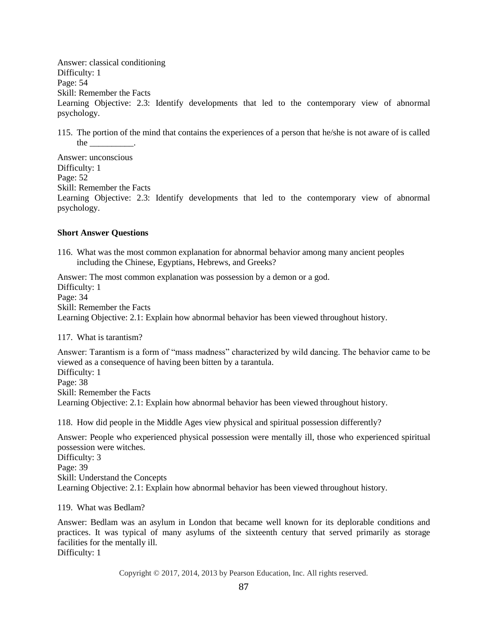Answer: classical conditioning Difficulty: 1 Page: 54 Skill: Remember the Facts Learning Objective: 2.3: Identify developments that led to the contemporary view of abnormal psychology.

115. The portion of the mind that contains the experiences of a person that he/she is not aware of is called the \_\_\_\_\_\_\_\_\_\_.

Answer: unconscious Difficulty: 1 Page: 52 Skill: Remember the Facts Learning Objective: 2.3: Identify developments that led to the contemporary view of abnormal psychology.

### <span id="page-31-0"></span>**Short Answer Questions**

116. What was the most common explanation for abnormal behavior among many ancient peoples including the Chinese, Egyptians, Hebrews, and Greeks?

Answer: The most common explanation was possession by a demon or a god. Difficulty: 1 Page: 34 Skill: Remember the Facts Learning Objective: 2.1: Explain how abnormal behavior has been viewed throughout history.

117. What is tarantism?

Answer: Tarantism is a form of "mass madness" characterized by wild dancing. The behavior came to be viewed as a consequence of having been bitten by a tarantula. Difficulty: 1

Page: 38 Skill: Remember the Facts Learning Objective: 2.1: Explain how abnormal behavior has been viewed throughout history.

118. How did people in the Middle Ages view physical and spiritual possession differently?

Answer: People who experienced physical possession were mentally ill, those who experienced spiritual possession were witches. Difficulty: 3 Page: 39 Skill: Understand the Concepts Learning Objective: 2.1: Explain how abnormal behavior has been viewed throughout history.

119. What was Bedlam?

Answer: Bedlam was an asylum in London that became well known for its deplorable conditions and practices. It was typical of many asylums of the sixteenth century that served primarily as storage facilities for the mentally ill. Difficulty: 1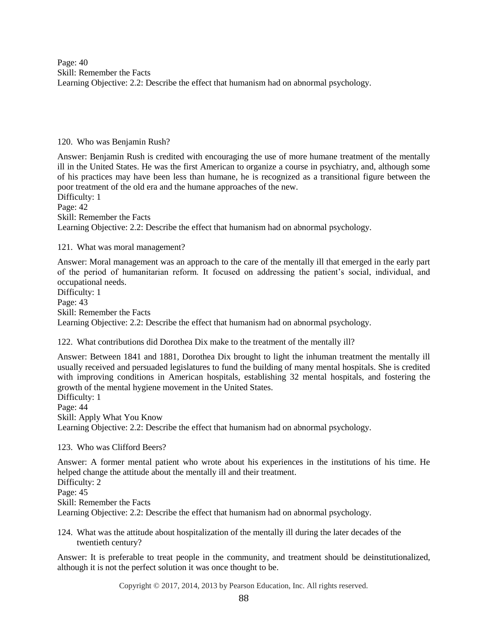Page: 40 Skill: Remember the Facts Learning Objective: 2.2: Describe the effect that humanism had on abnormal psychology.

#### 120. Who was Benjamin Rush?

Answer: Benjamin Rush is credited with encouraging the use of more humane treatment of the mentally ill in the United States. He was the first American to organize a course in psychiatry, and, although some of his practices may have been less than humane, he is recognized as a transitional figure between the poor treatment of the old era and the humane approaches of the new. Difficulty: 1 Page: 42 Skill: Remember the Facts

Learning Objective: 2.2: Describe the effect that humanism had on abnormal psychology.

### 121. What was moral management?

Answer: Moral management was an approach to the care of the mentally ill that emerged in the early part of the period of humanitarian reform. It focused on addressing the patient's social, individual, and occupational needs.

Difficulty: 1 Page: 43 Skill: Remember the Facts Learning Objective: 2.2: Describe the effect that humanism had on abnormal psychology.

122. What contributions did Dorothea Dix make to the treatment of the mentally ill?

Answer: Between 1841 and 1881, Dorothea Dix brought to light the inhuman treatment the mentally ill usually received and persuaded legislatures to fund the building of many mental hospitals. She is credited with improving conditions in American hospitals, establishing 32 mental hospitals, and fostering the growth of the mental hygiene movement in the United States.

Difficulty: 1 Page: 44 Skill: Apply What You Know Learning Objective: 2.2: Describe the effect that humanism had on abnormal psychology.

### 123. Who was Clifford Beers?

Answer: A former mental patient who wrote about his experiences in the institutions of his time. He helped change the attitude about the mentally ill and their treatment. Difficulty: 2 Page:  $45$ Skill: Remember the Facts Learning Objective: 2.2: Describe the effect that humanism had on abnormal psychology.

124. What was the attitude about hospitalization of the mentally ill during the later decades of the twentieth century?

Answer: It is preferable to treat people in the community, and treatment should be deinstitutionalized, although it is not the perfect solution it was once thought to be.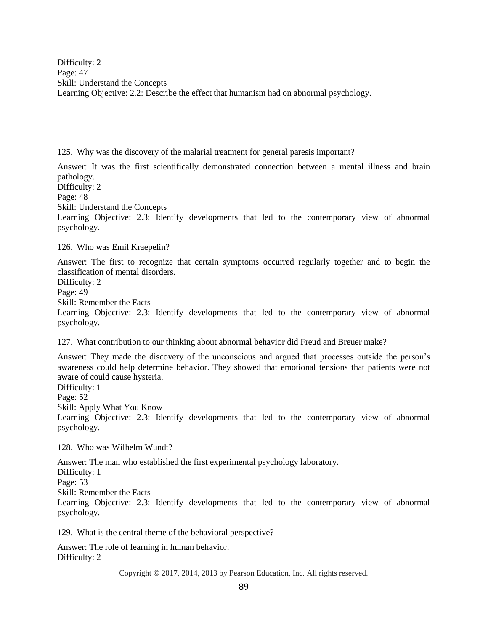Difficulty: 2 Page: 47 Skill: Understand the Concepts Learning Objective: 2.2: Describe the effect that humanism had on abnormal psychology.

125. Why was the discovery of the malarial treatment for general paresis important?

Answer: It was the first scientifically demonstrated connection between a mental illness and brain pathology.

Difficulty: 2

Page: 48

Skill: Understand the Concepts

Learning Objective: 2.3: Identify developments that led to the contemporary view of abnormal psychology.

126. Who was Emil Kraepelin?

Answer: The first to recognize that certain symptoms occurred regularly together and to begin the classification of mental disorders.

Difficulty: 2 Page: 49

Skill: Remember the Facts

Learning Objective: 2.3: Identify developments that led to the contemporary view of abnormal psychology.

127. What contribution to our thinking about abnormal behavior did Freud and Breuer make?

Answer: They made the discovery of the unconscious and argued that processes outside the person's awareness could help determine behavior. They showed that emotional tensions that patients were not aware of could cause hysteria.

Difficulty: 1 Page: 52 Skill: Apply What You Know Learning Objective: 2.3: Identify developments that led to the contemporary view of abnormal psychology.

128. Who was Wilhelm Wundt?

Answer: The man who established the first experimental psychology laboratory.

Difficulty: 1 Page: 53

Skill: Remember the Facts

Learning Objective: 2.3: Identify developments that led to the contemporary view of abnormal psychology.

129. What is the central theme of the behavioral perspective?

Answer: The role of learning in human behavior. Difficulty: 2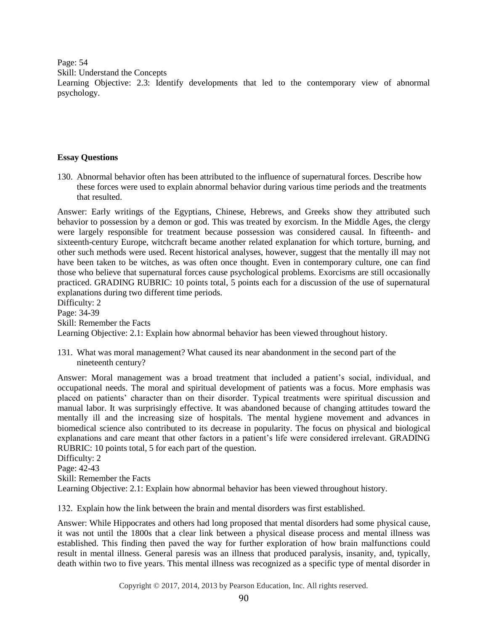Page: 54

Skill: Understand the Concepts

Learning Objective: 2.3: Identify developments that led to the contemporary view of abnormal psychology.

### <span id="page-34-0"></span>**Essay Questions**

130. Abnormal behavior often has been attributed to the influence of supernatural forces. Describe how these forces were used to explain abnormal behavior during various time periods and the treatments that resulted.

Answer: Early writings of the Egyptians, Chinese, Hebrews, and Greeks show they attributed such behavior to possession by a demon or god. This was treated by exorcism. In the Middle Ages, the clergy were largely responsible for treatment because possession was considered causal. In fifteenth- and sixteenth-century Europe, witchcraft became another related explanation for which torture, burning, and other such methods were used. Recent historical analyses, however, suggest that the mentally ill may not have been taken to be witches, as was often once thought. Even in contemporary culture, one can find those who believe that supernatural forces cause psychological problems. Exorcisms are still occasionally practiced. GRADING RUBRIC: 10 points total, 5 points each for a discussion of the use of supernatural explanations during two different time periods. Difficulty: 2

Page: 34-39 Skill: Remember the Facts Learning Objective: 2.1: Explain how abnormal behavior has been viewed throughout history.

131. What was moral management? What caused its near abandonment in the second part of the nineteenth century?

Answer: Moral management was a broad treatment that included a patient's social, individual, and occupational needs. The moral and spiritual development of patients was a focus. More emphasis was placed on patients' character than on their disorder. Typical treatments were spiritual discussion and manual labor. It was surprisingly effective. It was abandoned because of changing attitudes toward the mentally ill and the increasing size of hospitals. The mental hygiene movement and advances in biomedical science also contributed to its decrease in popularity. The focus on physical and biological explanations and care meant that other factors in a patient's life were considered irrelevant. GRADING RUBRIC: 10 points total, 5 for each part of the question.

Difficulty: 2 Page: 42-43 Skill: Remember the Facts Learning Objective: 2.1: Explain how abnormal behavior has been viewed throughout history.

132. Explain how the link between the brain and mental disorders was first established.

Answer: While Hippocrates and others had long proposed that mental disorders had some physical cause, it was not until the 1800s that a clear link between a physical disease process and mental illness was established. This finding then paved the way for further exploration of how brain malfunctions could result in mental illness. General paresis was an illness that produced paralysis, insanity, and, typically, death within two to five years. This mental illness was recognized as a specific type of mental disorder in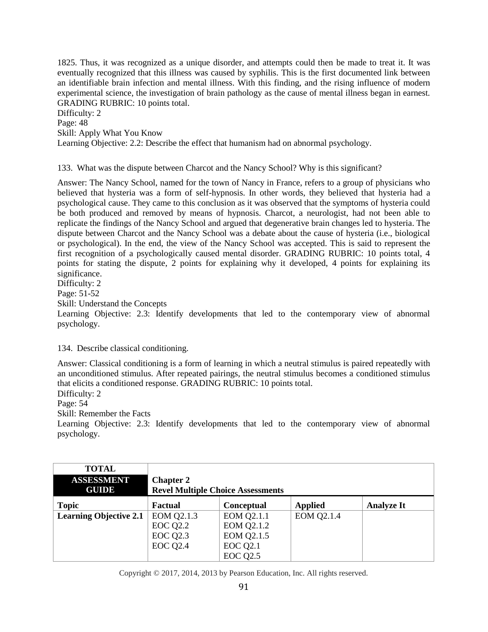1825. Thus, it was recognized as a unique disorder, and attempts could then be made to treat it. It was eventually recognized that this illness was caused by syphilis. This is the first documented link between an identifiable brain infection and mental illness. With this finding, and the rising influence of modern experimental science, the investigation of brain pathology as the cause of mental illness began in earnest. GRADING RUBRIC: 10 points total.

Difficulty: 2 Page: 48 Skill: Apply What You Know Learning Objective: 2.2: Describe the effect that humanism had on abnormal psychology.

133. What was the dispute between Charcot and the Nancy School? Why is this significant?

Answer: The Nancy School, named for the town of Nancy in France, refers to a group of physicians who believed that hysteria was a form of self-hypnosis. In other words, they believed that hysteria had a psychological cause. They came to this conclusion as it was observed that the symptoms of hysteria could be both produced and removed by means of hypnosis. Charcot, a neurologist, had not been able to replicate the findings of the Nancy School and argued that degenerative brain changes led to hysteria. The dispute between Charcot and the Nancy School was a debate about the cause of hysteria (i.e., biological or psychological). In the end, the view of the Nancy School was accepted. This is said to represent the first recognition of a psychologically caused mental disorder. GRADING RUBRIC: 10 points total, 4 points for stating the dispute, 2 points for explaining why it developed, 4 points for explaining its significance. Difficulty: 2

Page: 51-52

Skill: Understand the Concepts

Learning Objective: 2.3: Identify developments that led to the contemporary view of abnormal psychology.

134. Describe classical conditioning.

Answer: Classical conditioning is a form of learning in which a neutral stimulus is paired repeatedly with an unconditioned stimulus. After repeated pairings, the neutral stimulus becomes a conditioned stimulus that elicits a conditioned response. GRADING RUBRIC: 10 points total.

Difficulty: 2

Page: 54

Skill: Remember the Facts

Learning Objective: 2.3: Identify developments that led to the contemporary view of abnormal psychology.

| <b>TOTAL</b><br><b>ASSESSMENT</b><br><b>GUIDE</b> | <b>Chapter 2</b><br><b>Revel Multiple Choice Assessments</b> |                   |                |                   |
|---------------------------------------------------|--------------------------------------------------------------|-------------------|----------------|-------------------|
| <b>Topic</b>                                      | Factual                                                      | Conceptual        | <b>Applied</b> | <b>Analyze It</b> |
| <b>Learning Objective 2.1</b>                     | EOM Q2.1.3                                                   | EOM Q2.1.1        | EOM Q2.1.4     |                   |
|                                                   | <b>EOC Q2.2</b>                                              | <b>EOM Q2.1.2</b> |                |                   |
|                                                   | <b>EOC Q2.3</b>                                              | EOM Q2.1.5        |                |                   |
|                                                   | <b>EOC Q2.4</b>                                              | <b>EOC Q2.1</b>   |                |                   |
|                                                   |                                                              | <b>EOC Q2.5</b>   |                |                   |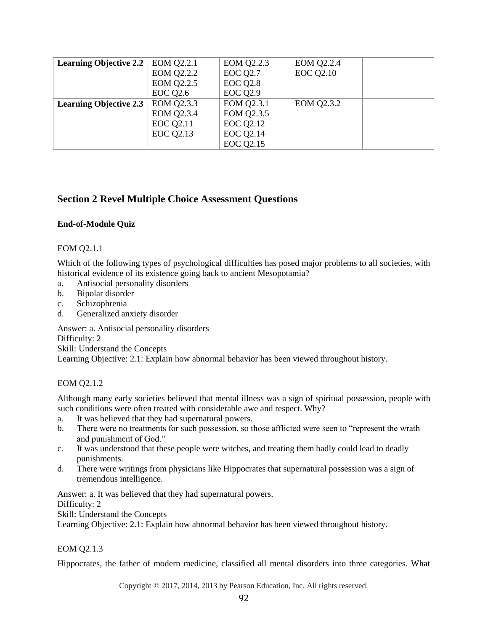| <b>Learning Objective 2.2</b> | EOM Q2.2.1        | <b>EOM Q2.2.3</b> | <b>EOM Q2.2.4</b> |  |
|-------------------------------|-------------------|-------------------|-------------------|--|
|                               | <b>EOM Q2.2.2</b> | <b>EOC Q2.7</b>   | <b>EOC Q2.10</b>  |  |
|                               | <b>EOM Q2.2.5</b> | <b>EOC Q2.8</b>   |                   |  |
|                               | <b>EOC Q2.6</b>   | <b>EOC Q2.9</b>   |                   |  |
| <b>Learning Objective 2.3</b> | EOM Q2.3.3        | EOM Q2.3.1        | EOM Q2.3.2        |  |
|                               | EOM Q2.3.4        | EOM Q2.3.5        |                   |  |
|                               | <b>EOC Q2.11</b>  | <b>EOC Q2.12</b>  |                   |  |
|                               | <b>EOC Q2.13</b>  | <b>EOC Q2.14</b>  |                   |  |
|                               |                   | <b>EOC Q2.15</b>  |                   |  |

# <span id="page-36-0"></span>**Section 2 Revel Multiple Choice Assessment Questions**

# <span id="page-36-1"></span>**End-of-Module Quiz**

### EOM Q2.1.1

Which of the following types of psychological difficulties has posed major problems to all societies, with historical evidence of its existence going back to ancient Mesopotamia?

- a. Antisocial personality disorders
- b. Bipolar disorder
- c. Schizophrenia
- d. Generalized anxiety disorder

Answer: a. Antisocial personality disorders

Difficulty: 2

Skill: Understand the Concepts

Learning Objective: 2.1: Explain how abnormal behavior has been viewed throughout history.

### EOM Q2.1.2

Although many early societies believed that mental illness was a sign of spiritual possession, people with such conditions were often treated with considerable awe and respect. Why?

- a. It was believed that they had supernatural powers.
- b. There were no treatments for such possession, so those afflicted were seen to "represent the wrath and punishment of God."
- c. It was understood that these people were witches, and treating them badly could lead to deadly punishments.
- d. There were writings from physicians like Hippocrates that supernatural possession was a sign of tremendous intelligence.

Answer: a. It was believed that they had supernatural powers. Difficulty: 2 Skill: Understand the Concepts

Learning Objective: 2.1: Explain how abnormal behavior has been viewed throughout history.

### EOM Q2.1.3

Hippocrates, the father of modern medicine, classified all mental disorders into three categories. What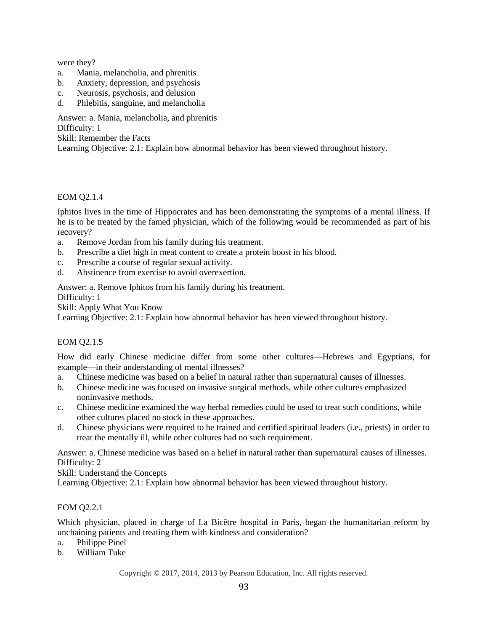were they?

- a. Mania, melancholia, and phrenitis
- b. Anxiety, depression, and psychosis
- c. Neurosis, psychosis, and delusion
- d. Phlebitis, sanguine, and melancholia

Answer: a. Mania, melancholia, and phrenitis

Difficulty: 1

Skill: Remember the Facts

Learning Objective: 2.1: Explain how abnormal behavior has been viewed throughout history.

### EOM Q2.1.4

Iphitos lives in the time of Hippocrates and has been demonstrating the symptoms of a mental illness. If he is to be treated by the famed physician, which of the following would be recommended as part of his recovery?

- a. Remove Jordan from his family during his treatment.
- b. Prescribe a diet high in meat content to create a protein boost in his blood.
- c. Prescribe a course of regular sexual activity.
- d. Abstinence from exercise to avoid overexertion.

Answer: a. Remove Iphitos from his family during his treatment.

Difficulty: 1

Skill: Apply What You Know

Learning Objective: 2.1: Explain how abnormal behavior has been viewed throughout history.

### EOM Q2.1.5

How did early Chinese medicine differ from some other cultures—Hebrews and Egyptians, for example—in their understanding of mental illnesses?

- a. Chinese medicine was based on a belief in natural rather than supernatural causes of illnesses.
- b. Chinese medicine was focused on invasive surgical methods, while other cultures emphasized noninvasive methods.
- c. Chinese medicine examined the way herbal remedies could be used to treat such conditions, while other cultures placed no stock in these approaches.
- d. Chinese physicians were required to be trained and certified spiritual leaders (i.e., priests) in order to treat the mentally ill, while other cultures had no such requirement.

Answer: a. Chinese medicine was based on a belief in natural rather than supernatural causes of illnesses. Difficulty: 2

Skill: Understand the Concepts

Learning Objective: 2.1: Explain how abnormal behavior has been viewed throughout history.

### EOM Q2.2.1

Which physician, placed in charge of La Bicêtre hospital in Paris, began the humanitarian reform by unchaining patients and treating them with kindness and consideration?

- a. Philippe Pinel
- b. William Tuke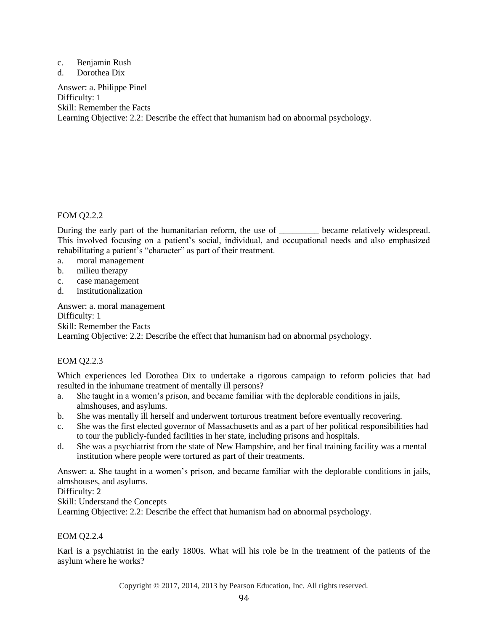#### c. Benjamin Rush

d. Dorothea Dix

Answer: a. Philippe Pinel Difficulty: 1 Skill: Remember the Facts Learning Objective: 2.2: Describe the effect that humanism had on abnormal psychology.

### EOM Q2.2.2

During the early part of the humanitarian reform, the use of \_\_\_\_\_\_\_\_\_ became relatively widespread. This involved focusing on a patient's social, individual, and occupational needs and also emphasized rehabilitating a patient's "character" as part of their treatment.

- a. moral management
- b. milieu therapy
- c. case management
- d. institutionalization

Answer: a. moral management Difficulty: 1 Skill: Remember the Facts Learning Objective: 2.2: Describe the effect that humanism had on abnormal psychology.

### EOM Q2.2.3

Which experiences led Dorothea Dix to undertake a rigorous campaign to reform policies that had resulted in the inhumane treatment of mentally ill persons?

- a. She taught in a women's prison, and became familiar with the deplorable conditions in jails, almshouses, and asylums.
- b. She was mentally ill herself and underwent torturous treatment before eventually recovering.
- c. She was the first elected governor of Massachusetts and as a part of her political responsibilities had to tour the publicly-funded facilities in her state, including prisons and hospitals.
- d. She was a psychiatrist from the state of New Hampshire, and her final training facility was a mental institution where people were tortured as part of their treatments.

Answer: a. She taught in a women's prison, and became familiar with the deplorable conditions in jails, almshouses, and asylums.

Difficulty: 2

Skill: Understand the Concepts

Learning Objective: 2.2: Describe the effect that humanism had on abnormal psychology.

### EOM Q2.2.4

Karl is a psychiatrist in the early 1800s. What will his role be in the treatment of the patients of the asylum where he works?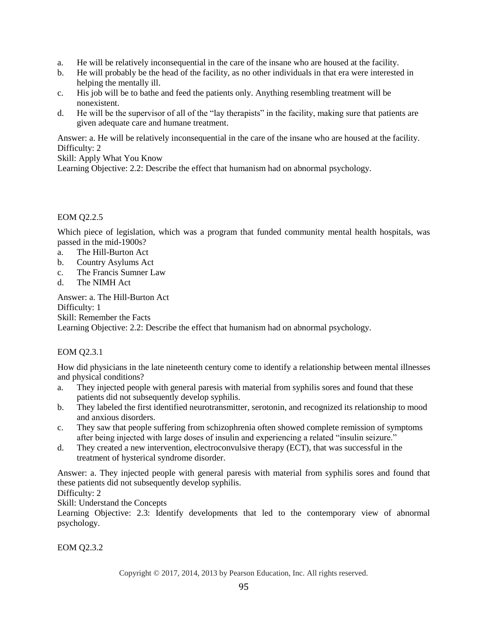- a. He will be relatively inconsequential in the care of the insane who are housed at the facility.
- b. He will probably be the head of the facility, as no other individuals in that era were interested in helping the mentally ill.
- c. His job will be to bathe and feed the patients only. Anything resembling treatment will be nonexistent.
- d. He will be the supervisor of all of the "lay therapists" in the facility, making sure that patients are given adequate care and humane treatment.

Answer: a. He will be relatively inconsequential in the care of the insane who are housed at the facility. Difficulty: 2

Skill: Apply What You Know

Learning Objective: 2.2: Describe the effect that humanism had on abnormal psychology.

### EOM Q2.2.5

Which piece of legislation, which was a program that funded community mental health hospitals, was passed in the mid-1900s?

- a. The Hill-Burton Act
- b. Country Asylums Act
- c. The Francis Sumner Law
- d. The NIMH Act

Answer: a. The Hill-Burton Act Difficulty: 1 Skill: Remember the Facts Learning Objective: 2.2: Describe the effect that humanism had on abnormal psychology.

### EOM Q2.3.1

How did physicians in the late nineteenth century come to identify a relationship between mental illnesses and physical conditions?

- a. They injected people with general paresis with material from syphilis sores and found that these patients did not subsequently develop syphilis.
- b. They labeled the first identified neurotransmitter, serotonin, and recognized its relationship to mood and anxious disorders.
- c. They saw that people suffering from schizophrenia often showed complete remission of symptoms after being injected with large doses of insulin and experiencing a related "insulin seizure."
- d. They created a new intervention, electroconvulsive therapy (ECT), that was successful in the treatment of hysterical syndrome disorder.

Answer: a. They injected people with general paresis with material from syphilis sores and found that these patients did not subsequently develop syphilis.

Difficulty: 2

Skill: Understand the Concepts

Learning Objective: 2.3: Identify developments that led to the contemporary view of abnormal psychology.

EOM Q2.3.2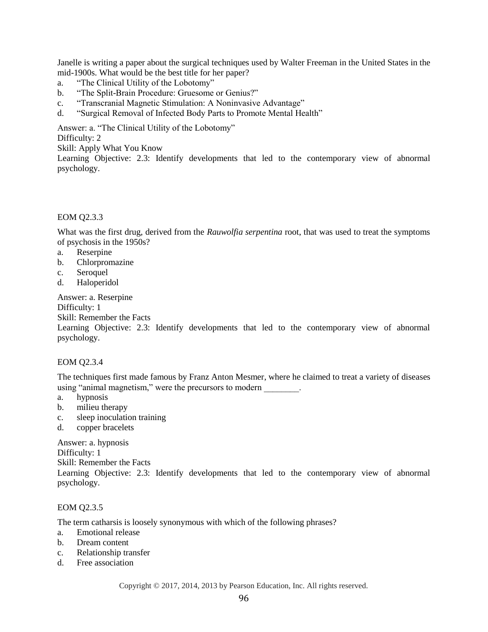Janelle is writing a paper about the surgical techniques used by Walter Freeman in the United States in the mid-1900s. What would be the best title for her paper?

- a. "The Clinical Utility of the Lobotomy"
- b. "The Split-Brain Procedure: Gruesome or Genius?"
- c. "Transcranial Magnetic Stimulation: A Noninvasive Advantage"
- d. "Surgical Removal of Infected Body Parts to Promote Mental Health"

Answer: a. "The Clinical Utility of the Lobotomy"

Difficulty: 2

Skill: Apply What You Know

Learning Objective: 2.3: Identify developments that led to the contemporary view of abnormal psychology.

### EOM Q2.3.3

What was the first drug, derived from the *Rauwolfia serpentina* root, that was used to treat the symptoms of psychosis in the 1950s?

- a. Reserpine
- b. Chlorpromazine
- c. Seroquel
- d. Haloperidol

### Answer: a. Reserpine

Difficulty: 1

Skill: Remember the Facts

Learning Objective: 2.3: Identify developments that led to the contemporary view of abnormal psychology.

### EOM Q2.3.4

The techniques first made famous by Franz Anton Mesmer, where he claimed to treat a variety of diseases using "animal magnetism," were the precursors to modern \_\_\_\_\_\_\_\_.

- a. hypnosis
- b. milieu therapy
- c. sleep inoculation training
- d. copper bracelets

Answer: a. hypnosis Difficulty: 1 Skill: Remember the Facts Learning Objective: 2.3: Identify developments that led to the contemporary view of abnormal psychology.

### EOM Q2.3.5

The term catharsis is loosely synonymous with which of the following phrases?

- a. Emotional release
- b. Dream content
- c. Relationship transfer
- d. Free association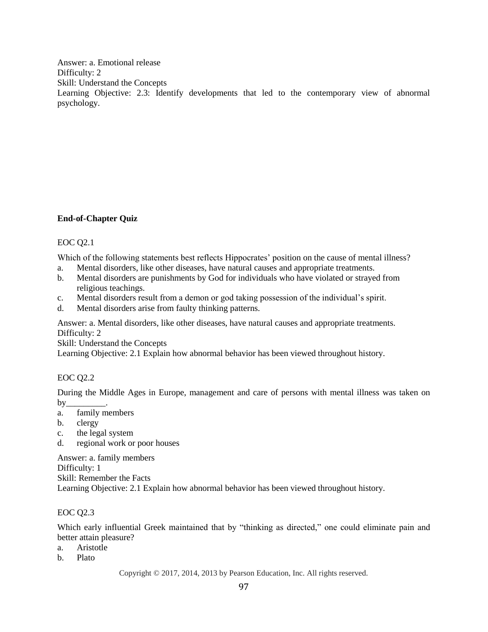Answer: a. Emotional release Difficulty: 2 Skill: Understand the Concepts Learning Objective: 2.3: Identify developments that led to the contemporary view of abnormal psychology.

### <span id="page-41-0"></span>**End-of-Chapter Quiz**

### EOC Q2.1

Which of the following statements best reflects Hippocrates' position on the cause of mental illness?

- a. Mental disorders, like other diseases, have natural causes and appropriate treatments.
- b. Mental disorders are punishments by God for individuals who have violated or strayed from religious teachings.
- c. Mental disorders result from a demon or god taking possession of the individual's spirit.
- d. Mental disorders arise from faulty thinking patterns.

Answer: a. Mental disorders, like other diseases, have natural causes and appropriate treatments. Difficulty: 2

Skill: Understand the Concepts

Learning Objective: 2.1 Explain how abnormal behavior has been viewed throughout history.

### EOC Q2.2

During the Middle Ages in Europe, management and care of persons with mental illness was taken on  $by_\_$ 

- a. family members
- b. clergy
- c. the legal system
- d. regional work or poor houses

Answer: a. family members Difficulty: 1 Skill: Remember the Facts Learning Objective: 2.1 Explain how abnormal behavior has been viewed throughout history.

### EOC Q2.3

Which early influential Greek maintained that by "thinking as directed," one could eliminate pain and better attain pleasure?

- a. Aristotle
- b. Plato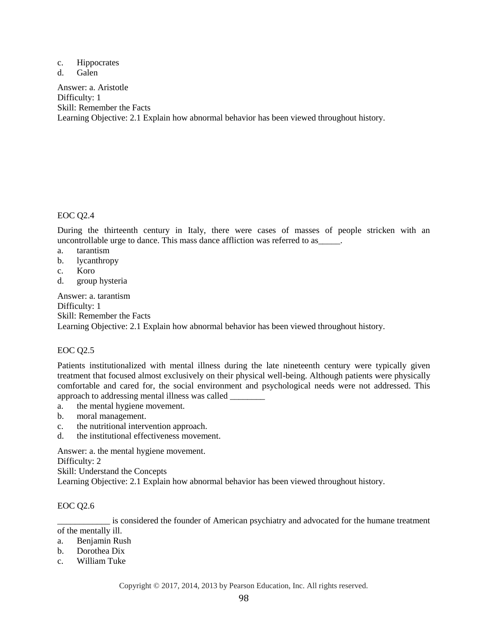- c. Hippocrates
- d. Galen

Answer: a. Aristotle Difficulty: 1 Skill: Remember the Facts Learning Objective: 2.1 Explain how abnormal behavior has been viewed throughout history.

# EOC Q2.4

During the thirteenth century in Italy, there were cases of masses of people stricken with an uncontrollable urge to dance. This mass dance affliction was referred to as\_\_\_\_\_.

- a. tarantism
- b. lycanthropy
- c. Koro
- d. group hysteria

Answer: a. tarantism Difficulty: 1 Skill: Remember the Facts Learning Objective: 2.1 Explain how abnormal behavior has been viewed throughout history.

### EOC Q2.5

Patients institutionalized with mental illness during the late nineteenth century were typically given treatment that focused almost exclusively on their physical well-being. Although patients were physically comfortable and cared for, the social environment and psychological needs were not addressed. This approach to addressing mental illness was called \_\_\_\_\_\_\_\_

- a. the mental hygiene movement.
- b. moral management.
- c. the nutritional intervention approach.
- d. the institutional effectiveness movement.

Answer: a. the mental hygiene movement.

Difficulty: 2

Skill: Understand the Concepts

Learning Objective: 2.1 Explain how abnormal behavior has been viewed throughout history.

#### EOC Q2.6

\_\_\_\_\_\_\_\_\_\_\_\_ is considered the founder of American psychiatry and advocated for the humane treatment of the mentally ill.

- a. Benjamin Rush
- b. Dorothea Dix
- c. William Tuke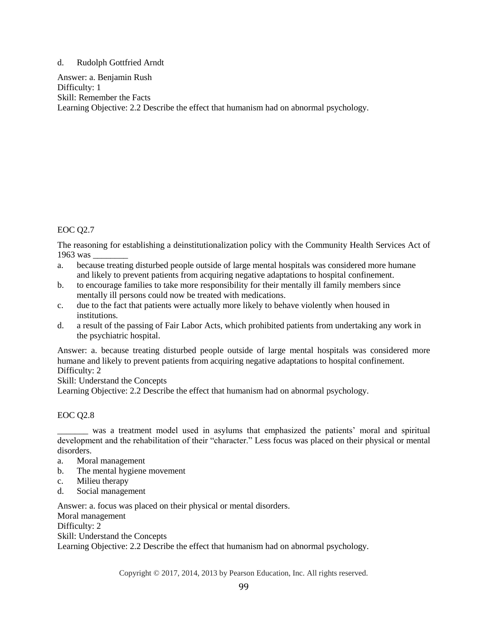#### d. Rudolph Gottfried Arndt

Answer: a. Benjamin Rush Difficulty: 1 Skill: Remember the Facts Learning Objective: 2.2 Describe the effect that humanism had on abnormal psychology.

### EOC Q2.7

The reasoning for establishing a deinstitutionalization policy with the Community Health Services Act of 1963 was \_\_\_\_\_\_\_\_

- a. because treating disturbed people outside of large mental hospitals was considered more humane and likely to prevent patients from acquiring negative adaptations to hospital confinement.
- b. to encourage families to take more responsibility for their mentally ill family members since mentally ill persons could now be treated with medications.
- c. due to the fact that patients were actually more likely to behave violently when housed in institutions.
- d. a result of the passing of Fair Labor Acts, which prohibited patients from undertaking any work in the psychiatric hospital.

Answer: a. because treating disturbed people outside of large mental hospitals was considered more humane and likely to prevent patients from acquiring negative adaptations to hospital confinement. Difficulty: 2

#### Skill: Understand the Concepts

Learning Objective: 2.2 Describe the effect that humanism had on abnormal psychology.

### EOC Q2.8

\_\_\_\_\_\_\_ was a treatment model used in asylums that emphasized the patients' moral and spiritual development and the rehabilitation of their "character." Less focus was placed on their physical or mental disorders.

- a. Moral management
- b. The mental hygiene movement
- c. Milieu therapy
- d. Social management

Answer: a. focus was placed on their physical or mental disorders.

Moral management

Difficulty: 2

Skill: Understand the Concepts

Learning Objective: 2.2 Describe the effect that humanism had on abnormal psychology.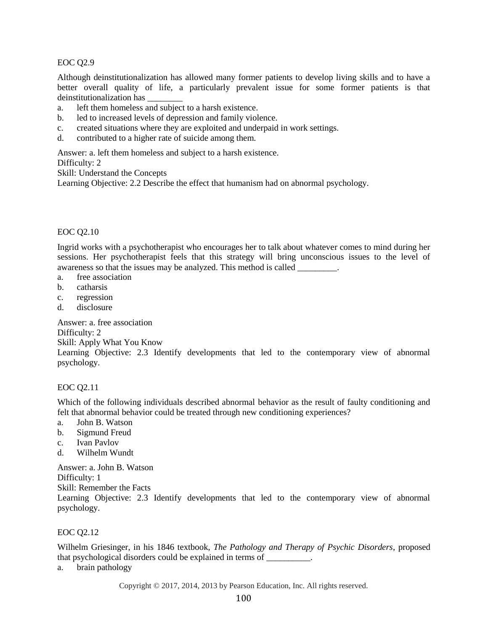### EOC Q2.9

Although deinstitutionalization has allowed many former patients to develop living skills and to have a better overall quality of life, a particularly prevalent issue for some former patients is that deinstitutionalization has \_\_\_\_\_\_\_\_

- a. left them homeless and subject to a harsh existence.
- b. led to increased levels of depression and family violence.
- c. created situations where they are exploited and underpaid in work settings.
- d. contributed to a higher rate of suicide among them.

Answer: a. left them homeless and subject to a harsh existence.

#### Difficulty: 2

Skill: Understand the Concepts

Learning Objective: 2.2 Describe the effect that humanism had on abnormal psychology.

### EOC Q2.10

Ingrid works with a psychotherapist who encourages her to talk about whatever comes to mind during her sessions. Her psychotherapist feels that this strategy will bring unconscious issues to the level of awareness so that the issues may be analyzed. This method is called

- a. free association
- b. catharsis
- c. regression
- d. disclosure

Answer: a. free association Difficulty: 2

Skill: Apply What You Know

Learning Objective: 2.3 Identify developments that led to the contemporary view of abnormal psychology.

### EOC Q2.11

Which of the following individuals described abnormal behavior as the result of faulty conditioning and felt that abnormal behavior could be treated through new conditioning experiences?

- a. John B. Watson
- b. Sigmund Freud
- c. Ivan Pavlov
- d. Wilhelm Wundt

Answer: a. John B. Watson

Difficulty: 1

Skill: Remember the Facts

Learning Objective: 2.3 Identify developments that led to the contemporary view of abnormal psychology.

### EOC Q2.12

Wilhelm Griesinger, in his 1846 textbook, *The Pathology and Therapy of Psychic Disorders*, proposed that psychological disorders could be explained in terms of \_\_\_\_\_\_\_\_\_\_.

a. brain pathology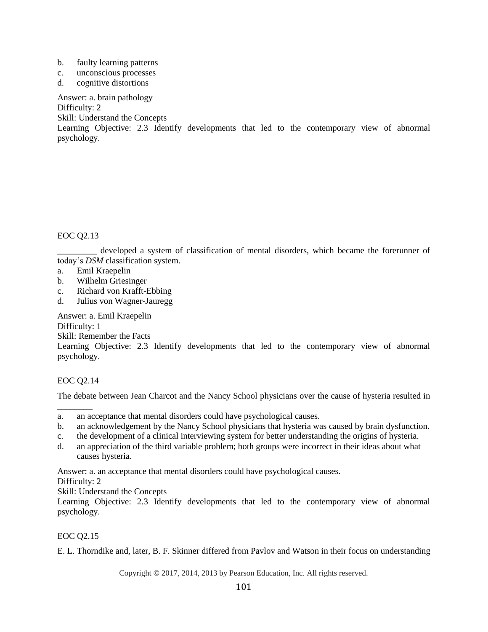- b. faulty learning patterns
- c. unconscious processes
- d. cognitive distortions

Answer: a. brain pathology

Difficulty: 2

Skill: Understand the Concepts

Learning Objective: 2.3 Identify developments that led to the contemporary view of abnormal psychology.

EOC Q2.13

\_\_\_\_\_\_\_\_\_ developed a system of classification of mental disorders, which became the forerunner of today's *DSM* classification system.

- a. Emil Kraepelin
- b. Wilhelm Griesinger
- c. Richard von Krafft-Ebbing
- d. Julius von Wagner-Jauregg

Answer: a. Emil Kraepelin

Difficulty: 1

Skill: Remember the Facts

Learning Objective: 2.3 Identify developments that led to the contemporary view of abnormal psychology.

### EOC Q2.14

\_\_\_\_\_\_\_\_

The debate between Jean Charcot and the Nancy School physicians over the cause of hysteria resulted in

- b. an acknowledgement by the Nancy School physicians that hysteria was caused by brain dysfunction.
- c. the development of a clinical interviewing system for better understanding the origins of hysteria.
- d. an appreciation of the third variable problem; both groups were incorrect in their ideas about what causes hysteria.

Answer: a. an acceptance that mental disorders could have psychological causes.

Difficulty: 2

Skill: Understand the Concepts

Learning Objective: 2.3 Identify developments that led to the contemporary view of abnormal psychology.

### EOC Q2.15

E. L. Thorndike and, later, B. F. Skinner differed from Pavlov and Watson in their focus on understanding

a. an acceptance that mental disorders could have psychological causes.